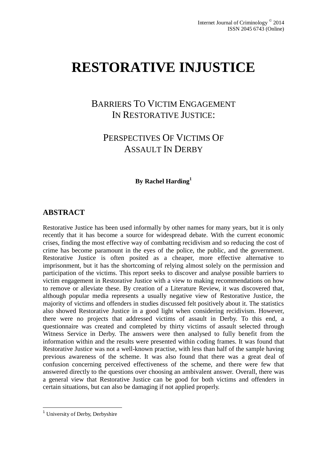# **RESTORATIVE INJUSTICE**

# BARRIERS TO VICTIM ENGAGEMENT IN RESTORATIVE JUSTICE:

# PERSPECTIVES OF VICTIMS OF ASSAULT IN DERBY

**By Rachel Harding<sup>1</sup>**

#### **ABSTRACT**

Restorative Justice has been used informally by other names for many years, but it is only recently that it has become a source for widespread debate. With the current economic crises, finding the most effective way of combatting recidivism and so reducing the cost of crime has become paramount in the eyes of the police, the public, and the government. Restorative Justice is often posited as a cheaper, more effective alternative to imprisonment, but it has the shortcoming of relying almost solely on the permission and participation of the victims. This report seeks to discover and analyse possible barriers to victim engagement in Restorative Justice with a view to making recommendations on how to remove or alleviate these. By creation of a Literature Review, it was discovered that, although popular media represents a usually negative view of Restorative Justice, the majority of victims and offenders in studies discussed felt positively about it. The statistics also showed Restorative Justice in a good light when considering recidivism. However, there were no projects that addressed victims of assault in Derby. To this end, a questionnaire was created and completed by thirty victims of assault selected through Witness Service in Derby. The answers were then analysed to fully benefit from the information within and the results were presented within coding frames. It was found that Restorative Justice was not a well-known practise, with less than half of the sample having previous awareness of the scheme. It was also found that there was a great deal of confusion concerning perceived effectiveness of the scheme, and there were few that answered directly to the questions over choosing an ambivalent answer. Overall, there was a general view that Restorative Justice can be good for both victims and offenders in certain situations, but can also be damaging if not applied properly.

<sup>&</sup>lt;sup>1</sup> University of Derby, Derbyshire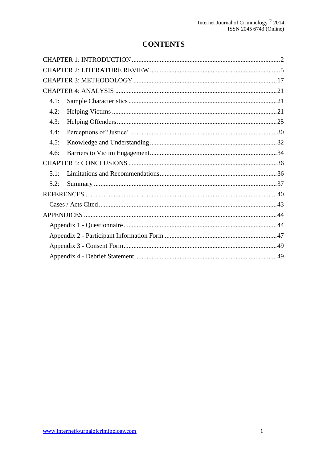# **CONTENTS**

| 4.1: |  |
|------|--|
| 4.2: |  |
| 4.3: |  |
| 4.4: |  |
| 4.5: |  |
| 4.6: |  |
|      |  |
| 5.1: |  |
| 5.2: |  |
|      |  |
|      |  |
|      |  |
|      |  |
|      |  |
|      |  |
|      |  |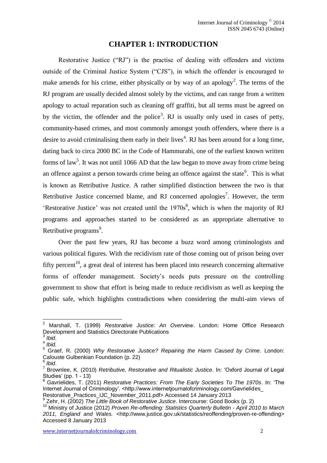## **CHAPTER 1: INTRODUCTION**

<span id="page-2-0"></span>Restorative Justice ("RJ") is the practise of dealing with offenders and victims outside of the Criminal Justice System ("CJS"), in which the offender is encouraged to make amends for his crime, either physically or by way of an apology<sup>2</sup>. The terms of the RJ program are usually decided almost solely by the victims, and can range from a written apology to actual reparation such as cleaning off graffiti, but all terms must be agreed on by the victim, the offender and the police<sup>3</sup>. RJ is usually only used in cases of petty, community-based crimes, and most commonly amongst youth offenders, where there is a desire to avoid criminalising them early in their lives<sup>4</sup>. RJ has been around for a long time, dating back to circa 2000 BC in the Code of Hammurabi, one of the earliest known written forms of law<sup>5</sup>. It was not until 1066 AD that the law began to move away from crime being an offence against a person towards crime being an offence against the state<sup>6</sup>. This is what is known as Retributive Justice. A rather simplified distinction between the two is that Retributive Justice concerned blame, and RJ concerned apologies<sup>7</sup>. However, the term 'Restorative Justice' was not created until the  $1970s<sup>8</sup>$ , which is when the majority of RJ programs and approaches started to be considered as an appropriate alternative to Retributive programs<sup>9</sup>.

Over the past few years, RJ has become a buzz word among criminologists and various political figures. With the recidivism rate of those coming out of prison being over fifty percent<sup>10</sup>, a great deal of interest has been placed into research concerning alternative forms of offender management. Society's needs puts pressure on the controlling government to show that effort is being made to reduce recidivism as well as keeping the public safe, which highlights contradictions when considering the multi-aim views of

<sup>2</sup> Marshall, T. (1999) *Restorative Justice: An Overview*. London: Home Office Research Development and Statistics Directorate Publications

<sup>3</sup> *Ibid*.

<sup>4</sup> *Ibid.*

<sup>5</sup> Graef, R. (2000) *Why Restorative Justice? Repairing the Harm Caused by Crime*. London: Calouste Gulbenkian Foundation (p. 22)

<sup>6</sup> *Ibid*.

<sup>7</sup> Brownlee, K. (2010) *Retributive, Restorative and Ritualistic Justice*. In: 'Oxford Journal of Legal Studies' (pp. 1 - 13)

<sup>8</sup> Gavrielides, T. (2011) *Restorative Practices: From The Early Societies To The 1970s*. In: 'The Internet Journal of Criminology'. <http://www.internetjournalofcriminology.com/Gavrielides

Restorative\_Practices\_IJC\_November\_2011.pdf> Accessed 14 January 2013

<sup>9</sup> Zehr, H. (2002) *The Little Book of Restorative Justice*. Intercourse: Good Books (p. 2)

<sup>10</sup> Ministry of Justice (2012) *Proven Re-offending: Statistics Quarterly Bulletin - April 2010 to March 2011, England and Wales.* <http://www.justice.gov.uk/statistics/reoffending/proven-re-offending> Accessed 8 January 2013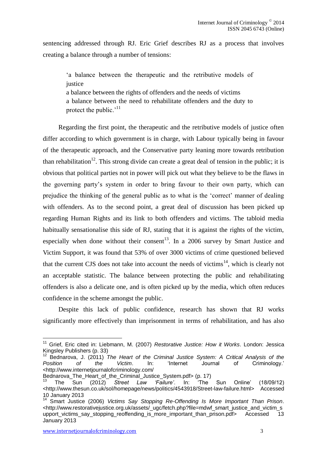sentencing addressed through RJ. Eric Grief describes RJ as a process that involves creating a balance through a number of tensions:

'a balance between the therapeutic and the retributive models of iustice a balance between the rights of offenders and the needs of victims a balance between the need to rehabilitate offenders and the duty to

protect the public.'<sup>11</sup>

Regarding the first point, the therapeutic and the retributive models of justice often differ according to which government is in charge, with Labour typically being in favour of the therapeutic approach, and the Conservative party leaning more towards retribution than rehabilitation<sup>12</sup>. This strong divide can create a great deal of tension in the public; it is obvious that political parties not in power will pick out what they believe to be the flaws in the governing party's system in order to bring favour to their own party, which can prejudice the thinking of the general public as to what is the 'correct' manner of dealing with offenders. As to the second point, a great deal of discussion has been picked up regarding Human Rights and its link to both offenders and victims. The tabloid media habitually sensationalise this side of RJ, stating that it is against the rights of the victim, especially when done without their consent<sup>13</sup>. In a 2006 survey by Smart Justice and Victim Support, it was found that 53% of over 3000 victims of crime questioned believed that the current CJS does not take into account the needs of victims<sup>14</sup>, which is clearly not an acceptable statistic. The balance between protecting the public and rehabilitating offenders is also a delicate one, and is often picked up by the media, which often reduces confidence in the scheme amongst the public.

Despite this lack of public confidence, research has shown that RJ works significantly more effectively than imprisonment in terms of rehabilitation, and has also

<sup>11</sup> Grief, Eric cited in: Liebmann, M. (2007) *Restorative Justice: How it Works*. London: Jessica Kingsley Publishers (p. 33)

<sup>12</sup> Bednarova, J. (2011) *The Heart of the Criminal Justice System: A Critical Analysis of the Position of the Victim*. In: 'Internet Journal of Criminology.' <http://www.internetjournalofcriminology.com/

Bednarova The Heart of the Criminal Justice System.pdf> (p. 17)

<sup>13</sup> The Sun (2012) *Street Law 'Failure'*. In: 'The Sun Online' (18/09/12) <http://www.thesun.co.uk/sol/homepage/news/politics/4543918/Street-law-failure.html> Accessed 10 January 2013

<sup>14</sup> Smart Justice (2006) *Victims Say Stopping Re-Offending Is More Important Than Prison*. <http://www.restorativejustice.org.uk/assets/\_ugc/fetch.php?file=mdwf\_smart\_justice\_and\_victim\_s upport\_victims\_say\_stopping\_reoffending\_is\_more\_important\_than\_prison.pdf> Accessed 13 January 2013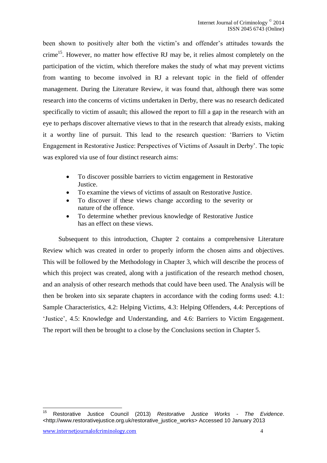been shown to positively alter both the victim's and offender's attitudes towards the crime<sup>15</sup>. However, no matter how effective RJ may be, it relies almost completely on the participation of the victim, which therefore makes the study of what may prevent victims from wanting to become involved in RJ a relevant topic in the field of offender management. During the Literature Review, it was found that, although there was some research into the concerns of victims undertaken in Derby, there was no research dedicated specifically to victim of assault; this allowed the report to fill a gap in the research with an eye to perhaps discover alternative views to that in the research that already exists, making it a worthy line of pursuit. This lead to the research question: 'Barriers to Victim Engagement in Restorative Justice: Perspectives of Victims of Assault in Derby'. The topic was explored via use of four distinct research aims:

- To discover possible barriers to victim engagement in Restorative Justice.
- To examine the views of victims of assault on Restorative Justice.
- To discover if these views change according to the severity or nature of the offence.
- To determine whether previous knowledge of Restorative Justice has an effect on these views.

Subsequent to this introduction, Chapter 2 contains a comprehensive Literature Review which was created in order to properly inform the chosen aims and objectives. This will be followed by the Methodology in Chapter 3, which will describe the process of which this project was created, along with a justification of the research method chosen, and an analysis of other research methods that could have been used. The Analysis will be then be broken into six separate chapters in accordance with the coding forms used: 4.1: Sample Characteristics, 4.2: Helping Victims, 4.3: Helping Offenders, 4.4: Perceptions of 'Justice', 4.5: Knowledge and Understanding, and 4.6: Barriers to Victim Engagement. The report will then be brought to a close by the Conclusions section in Chapter 5.

 $15<sup>15</sup>$ <sup>15</sup> Restorative Justice Council (2013) *Restorative Justice Works - The Evidence*. <http://www.restorativejustice.org.uk/restorative\_justice\_works> Accessed 10 January 2013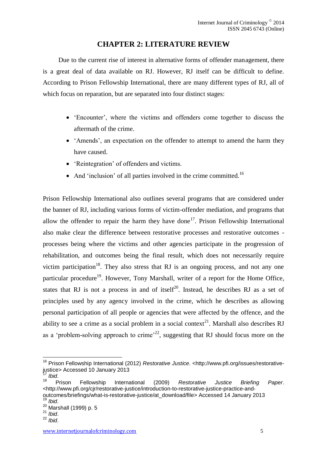### **CHAPTER 2: LITERATURE REVIEW**

<span id="page-5-0"></span>Due to the current rise of interest in alternative forms of offender management, there is a great deal of data available on RJ. However, RJ itself can be difficult to define. According to Prison Fellowship International, there are many different types of RJ, all of which focus on reparation, but are separated into four distinct stages:

- 'Encounter', where the victims and offenders come together to discuss the aftermath of the crime.
- 'Amends', an expectation on the offender to attempt to amend the harm they have caused.
- 'Reintegration' of offenders and victims.
- And 'inclusion' of all parties involved in the crime committed.<sup>16</sup>

Prison Fellowship International also outlines several programs that are considered under the banner of RJ, including various forms of victim-offender mediation, and programs that allow the offender to repair the harm they have done<sup>17</sup>. Prison Fellowship International also make clear the difference between restorative processes and restorative outcomes processes being where the victims and other agencies participate in the progression of rehabilitation, and outcomes being the final result, which does not necessarily require victim participation<sup>18</sup>. They also stress that RJ is an ongoing process, and not any one particular procedure<sup>19</sup>. However, Tony Marshall, writer of a report for the Home Office, states that RJ is not a process in and of itself<sup>20</sup>. Instead, he describes RJ as a set of principles used by any agency involved in the crime, which he describes as allowing personal participation of all people or agencies that were affected by the offence, and the ability to see a crime as a social problem in a social context<sup>21</sup>. Marshall also describes RJ as a 'problem-solving approach to crime'<sup>22</sup>, suggesting that RJ should focus more on the

<sup>16</sup> Prison Fellowship International (2012) *Restorative Justice*. <http://www.pfi.org/issues/restorativejustice> Accessed 10 January 2013

 $^{17}_{18}$  *Ibid.* 

<sup>18</sup> Prison Fellowship International (2009) *Restorative Justice Briefing Paper*. <http://www.pfi.org/cjr/restorative-justice/introduction-to-restorative-justice-practice-andoutcomes/briefings/what-is-restorative-justice/at\_download/file> Accessed 14 January 2013 <sup>19</sup> *Ibid*.

<sup>&</sup>lt;sup>20</sup> Marshall (1999) p. 5

<sup>21</sup> *Ibid*.

<sup>22</sup> *Ibid*.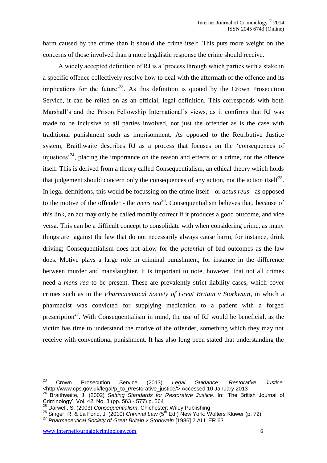harm caused by the crime than it should the crime itself. This puts more weight on the concerns of those involved than a more legalistic response the crime should receive.

A widely accepted definition of RJ is a 'process through which parties with a stake in a specific offence collectively resolve how to deal with the aftermath of the offence and its implications for the future<sup> $23$ </sup>. As this definition is quoted by the Crown Prosecution Service, it can be relied on as an official, legal definition. This corresponds with both Marshall's and the Prison Fellowship International's views, as it confirms that RJ was made to be inclusive to all parties involved, not just the offender as is the case with traditional punishment such as imprisonment. As opposed to the Retributive Justice system, Braithwaite describes RJ as a process that focuses on the 'consequences of injustices<sup> $24$ </sup>, placing the importance on the reason and effects of a crime, not the offence itself. This is derived from a theory called Consequentialism, an ethical theory which holds that judgement should concern only the consequences of any action, not the action itself<sup>25</sup>. In legal definitions, this would be focussing on the crime itself - or *actus reus* - as opposed to the motive of the offender - the *mens rea* <sup>26</sup>. Consequentialism believes that, because of this link, an act may only be called morally correct if it produces a good outcome, and vice versa. This can be a difficult concept to consolidate with when considering crime, as many things are against the law that do not necessarily always cause harm, for instance, drink driving; Consequentialism does not allow for the *potential* of bad outcomes as the law does. Motive plays a large role in criminal punishment, for instance in the difference between murder and manslaughter. It is important to note, however, that not all crimes need a *mens rea* to be present. These are prevalently strict liability cases, which cover crimes such as in the *Pharmaceutical Society of Great Britain v Storkwain*, in which a pharmacist was convicted for supplying medication to a patient with a forged prescription<sup>27</sup>. With Consequentialism in mind, the use of RJ would be beneficial, as the victim has time to understand the motive of the offender, something which they may not receive with conventional punishment. It has also long been stated that understanding the

<sup>23</sup> <sup>23</sup> Crown Prosecution Service (2013) *Legal Guidance: Restorative Justice*. <http://www.cps.gov.uk/legal/p\_to\_r/restorative\_justice/> Accessed 10 January 2013

<sup>24</sup> Braithwaite, J. (2002) *Setting Standards for Restorative Justice*. In: 'The British Journal of Criminology', Vol. 42, No. 3 (pp. 563 - 577) p. 564

<sup>25</sup> Darwell, S. (2003) *Consequentialism*. Chichester: Wiley Publishing

<sup>&</sup>lt;sup>26</sup> Singer, R. & La Fond, J. (2010) *Criminal Law* (5<sup>th</sup> Ed.) New York: Wolters Kluwer (p. 72)

<sup>27</sup> *Pharmaceutical Society of Great Britain v Storkwain* [1986] 2 ALL ER 63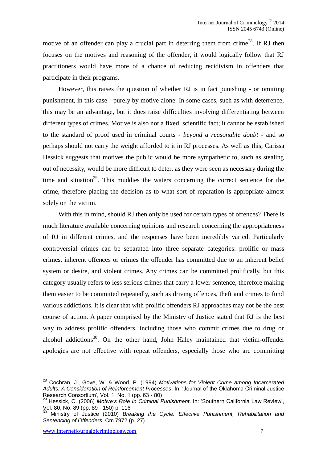motive of an offender can play a crucial part in deterring them from crime<sup>28</sup>. If RJ then focuses on the motives and reasoning of the offender, it would logically follow that RJ practitioners would have more of a chance of reducing recidivism in offenders that participate in their programs.

However, this raises the question of whether RJ is in fact punishing - or omitting punishment, in this case - purely by motive alone. In some cases, such as with deterrence, this may be an advantage, but it does raise difficulties involving differentiating between different types of crimes. Motive is also not a fixed, scientific fact; it cannot be established to the standard of proof used in criminal courts - *beyond a reasonable doubt* - and so perhaps should not carry the weight afforded to it in RJ processes. As well as this, Carissa Hessick suggests that motives the public would be more sympathetic to, such as stealing out of necessity, would be more difficult to deter, as they were seen as necessary during the time and situation<sup>29</sup>. This muddies the waters concerning the correct sentence for the crime, therefore placing the decision as to what sort of reparation is appropriate almost solely on the victim.

With this in mind, should RJ then only be used for certain types of offences? There is much literature available concerning opinions and research concerning the appropriateness of RJ in different crimes, and the responses have been incredibly varied. Particularly controversial crimes can be separated into three separate categories: prolific or mass crimes, inherent offences or crimes the offender has committed due to an inherent belief system or desire, and violent crimes. Any crimes can be committed prolifically, but this category usually refers to less serious crimes that carry a lower sentence, therefore making them easier to be committed repeatedly, such as driving offences, theft and crimes to fund various addictions. It is clear that with prolific offenders RJ approaches may not be the best course of action. A paper comprised by the Ministry of Justice stated that RJ is the best way to address prolific offenders, including those who commit crimes due to drug or alcohol addictions $30$ . On the other hand, John Haley maintained that victim-offender apologies are not effective with repeat offenders, especially those who are committing

<sup>28</sup> Cochran, J., Gove, W. & Wood, P. (1994) *Motivations for Violent Crime among Incarcerated Adults: A Consideration of Reinforcement Processes*. In: 'Journal of the Oklahoma Criminal Justice Research Consortium', Vol. 1, No. 1 (pp. 63 - 80)

<sup>29</sup> Hessick, C. (2006) *Motive's Role In Criminal Punishment*. In: 'Southern California Law Review', Vol. 80, No. 89 (pp. 89 - 150) p. 116

<sup>30</sup> Ministry of Justice (2010) *Breaking the Cycle: Effective Punishment, Rehabilitation and Sentencing of Offenders*. Cm 7972 (p. 27)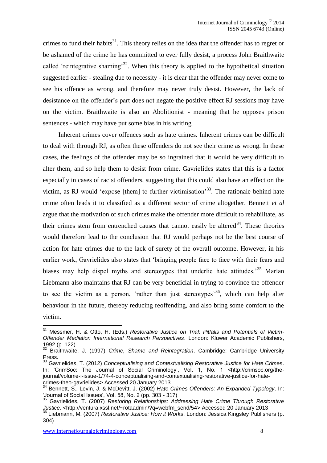crimes to fund their habits<sup>31</sup>. This theory relies on the idea that the offender has to regret or be ashamed of the crime he has committed to ever fully desist, a process John Braithwaite called 'reintegrative shaming'<sup>32</sup>. When this theory is applied to the hypothetical situation suggested earlier - stealing due to necessity - it is clear that the offender may never come to see his offence as wrong, and therefore may never truly desist. However, the lack of desistance on the offender's part does not negate the positive effect RJ sessions may have on the victim. Braithwaite is also an Abolitionist - meaning that he opposes prison sentences - which may have put some bias in his writing.

Inherent crimes cover offences such as hate crimes. Inherent crimes can be difficult to deal with through RJ, as often these offenders do not see their crime as wrong. In these cases, the feelings of the offender may be so ingrained that it would be very difficult to alter them, and so help them to desist from crime. Gavrielides states that this is a factor especially in cases of racist offenders, suggesting that this could also have an effect on the victim, as RJ would 'expose [them] to further victimisation<sup>33</sup>. The rationale behind hate crime often leads it to classified as a different sector of crime altogether. Bennett *et al* argue that the motivation of such crimes make the offender more difficult to rehabilitate, as their crimes stem from entrenched causes that cannot easily be altered<sup>34</sup>. These theories would therefore lead to the conclusion that RJ would perhaps not be the best course of action for hate crimes due to the lack of surety of the overall outcome. However, in his earlier work, Gavrielides also states that 'bringing people face to face with their fears and biases may help dispel myths and stereotypes that underlie hate attitudes.<sup>35</sup> Marian Liebmann also maintains that RJ can be very beneficial in trying to convince the offender to see the victim as a person, 'rather than just stereotypes<sup>36</sup>, which can help alter behaviour in the future, thereby reducing reoffending, and also bring some comfort to the victim.

<sup>31</sup> Messmer, H. & Otto, H. (Eds.) *Restorative Justice on Trial: Pitfalls and Potentials of Victim-Offender Mediation International Research Perspectives*. London: Kluwer Academic Publishers, 1992 (p. 122)

<sup>32</sup> Braithwaite, J. (1997) *Crime, Shame and Reintegration*. Cambridge: Cambridge University Press.

<sup>33</sup> Gavrielides, T. (2012) *Conceptualising and Contextualising Restorative Justice for Hate Crimes*. In: 'CrimSoc: The Journal of Social Criminology', Vol. 1, No. 1 <http://crimsoc.org/thejournal/volume-i-issue-1/74-4-conceptualising-and-contextualising-restorative-justice-for-hatecrimes-theo-gavrielides> Accessed 20 January 2013

<sup>34</sup> Bennett, S., Levin, J. & McDevitt, J. (2002) *Hate Crimes Offenders: An Expanded Typology*. In: 'Journal of Social Issues', Vol. 58, No. 2 (pp. 303 - 317)

<sup>35</sup> Gavrielides, T. (2007) *Restoring Relationships: Addressing Hate Crime Through Restorative Justice*. <http://ventura.xssl.net/~rotaadmin/?q=webfm\_send/54> Accessed 20 January 2013

<sup>36</sup> Liebmann, M. (2007) *Restorative Justice: How it Works*. London: Jessica Kingsley Publishers (p. 304)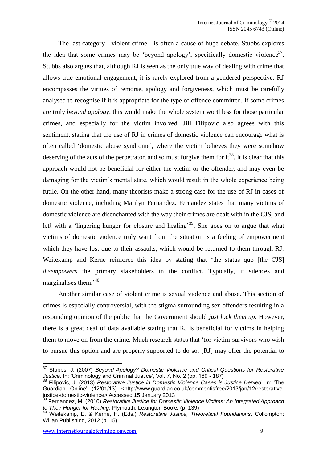The last category - violent crime - is often a cause of huge debate. Stubbs explores the idea that some crimes may be 'beyond apology', specifically domestic violence $3^7$ . Stubbs also argues that, although RJ is seen as the only true way of dealing with crime that allows true emotional engagement, it is rarely explored from a gendered perspective. RJ encompasses the virtues of remorse, apology and forgiveness, which must be carefully analysed to recognise if it is appropriate for the type of offence committed. If some crimes are truly *beyond apology*, this would make the whole system worthless for those particular crimes, and especially for the victim involved. Jill Filipovic also agrees with this sentiment, stating that the use of RJ in crimes of domestic violence can encourage what is often called 'domestic abuse syndrome', where the victim believes they were somehow deserving of the acts of the perpetrator, and so must forgive them for  $it^{38}$ . It is clear that this approach would not be beneficial for either the victim or the offender, and may even be damaging for the victim's mental state, which would result in the whole experience being futile. On the other hand, many theorists make a strong case for the use of RJ in cases of domestic violence, including Marilyn Fernandez. Fernandez states that many victims of domestic violence are disenchanted with the way their crimes are dealt with in the CJS, and left with a 'lingering hunger for closure and healing'<sup>39</sup>. She goes on to argue that what victims of domestic violence truly want from the situation is a feeling of empowerment which they have lost due to their assaults, which would be returned to them through RJ. Weitekamp and Kerne reinforce this idea by stating that 'the status quo [the CJS] *disempowers* the primary stakeholders in the conflict. Typically, it silences and marginalises them.'<sup>40</sup>

Another similar case of violent crime is sexual violence and abuse. This section of crimes is especially controversial, with the stigma surrounding sex offenders resulting in a resounding opinion of the public that the Government should *just lock them up*. However, there is a great deal of data available stating that RJ is beneficial for victims in helping them to move on from the crime. Much research states that 'for victim-survivors who wish to pursue this option and are properly supported to do so, [RJ] may offer the potential to

<sup>&</sup>lt;u>.</u> <sup>37</sup> Stubbs, J. (2007) *Beyond Apology? Domestic Violence and Critical Questions for Restorative Justice*. In: 'Criminology and Criminal Justice', Vol. 7, No. 2 (pp. 169 - 187)

<sup>38</sup> Filipovic, J. (2013) *Restorative Justice in Domestic Violence Cases is Justice Denied*. In: 'The Guardian Online' (12/01/13) <http://www.guardian.co.uk/commentisfree/2013/jan/12/restorativejustice-domestic-violence> Accessed 15 January 2013

<sup>39</sup> Fernandez, M. (2010) *Restorative Justice for Domestic Violence Victims: An Integrated Approach to Their Hunger for Healing*. Plymouth: Lexington Books (p. 139)

<sup>40</sup> Weitekamp, E. & Kerne, H. (Eds.) *Restorative Justice, Theoretical Foundations*. Collompton: Willan Publishing, 2012 (p. 15)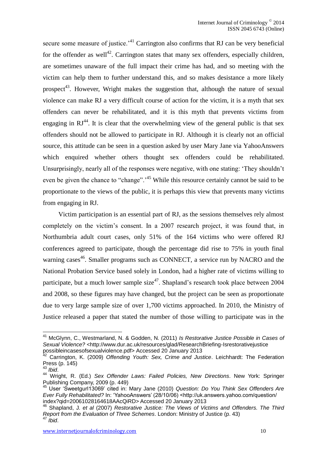secure some measure of justice.<sup> $41$ </sup> Carrington also confirms that RJ can be very beneficial for the offender as well<sup>42</sup>. Carrington states that many sex offenders, especially children, are sometimes unaware of the full impact their crime has had, and so meeting with the victim can help them to further understand this, and so makes desistance a more likely prospect<sup>43</sup>. However, Wright makes the suggestion that, although the nature of sexual violence can make RJ a very difficult course of action for the victim, it is a myth that sex offenders can never be rehabilitated, and it is this myth that prevents victims from engaging in  $RJ<sup>44</sup>$ . It is clear that the overwhelming view of the general public is that sex offenders should not be allowed to participate in RJ. Although it is clearly not an official source, this attitude can be seen in a question asked by user Mary Jane via YahooAnswers which enquired whether others thought sex offenders could be rehabilitated. Unsurprisingly, nearly all of the responses were negative, with one stating: 'They shouldn't even be given the chance to "change".<sup>45</sup> While this resource certainly cannot be said to be proportionate to the views of the public, it is perhaps this view that prevents many victims from engaging in RJ.

Victim participation is an essential part of RJ, as the sessions themselves rely almost completely on the victim's consent. In a 2007 research project, it was found that, in Northumbria adult court cases, only 51% of the 164 victims who were offered RJ conferences agreed to participate, though the percentage did rise to 75% in youth final warning cases<sup>46</sup>. Smaller programs such as CONNECT, a service run by NACRO and the National Probation Service based solely in London, had a higher rate of victims willing to participate, but a much lower sample size<sup>47</sup>. Shapland's research took place between 2004 and 2008, so these figures may have changed, but the project can be seen as proportionate due to very large sample size of over 1,700 victims approached. In 2010, the Ministry of Justice released a paper that stated the number of those willing to participate was in the

<sup>41</sup> McGlynn, C., Westmarland, N. & Godden, N. (2011) *Is Restorative Justice Possible in Cases of*  Sexual Violence? <http://www.dur.ac.uk/resources/glad/ResearchBriefing-Isrestorativejustice possibleincasesofsexualviolence.pdf> Accessed 20 January 2013

<sup>42</sup> Carrington, K. (2009) *Offending Youth: Sex, Crime and Justice*. Leichhardt: The Federation Press (p. 145)

<sup>43</sup> *Ibid*.

<sup>44</sup> Wright, R. (Ed.) *Sex Offender Laws: Failed Policies, New Directions*. New York: Springer Publishing Company, 2009 (p. 449)

<sup>45</sup> User 'Sweetgurl13069' cited in: Mary Jane (2010) *Question: Do You Think Sex Offenders Are Ever Fully Rehabilitated?* In: 'YahooAnswers' (28/10/06) <http://uk.answers.yahoo.com/question/ index?qid=20061028164618AAcQiRD> Accessed 20 January 2013

<sup>46</sup> Shapland, J. *et al* (2007) *Restorative Justice: The Views of Victims and Offenders. The Third Report from the Evaluation of Three Schemes*. London: Ministry of Justice (p. 43) <sup>47</sup> *Ibid*.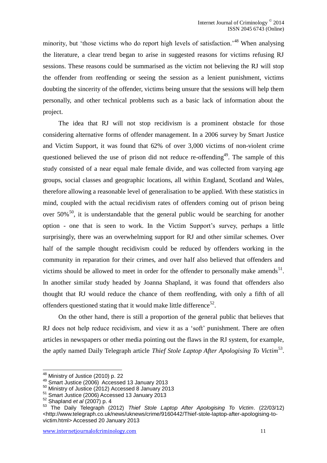minority, but 'those victims who do report high levels of satisfaction.<sup>48</sup> When analysing the literature, a clear trend began to arise in suggested reasons for victims refusing RJ sessions. These reasons could be summarised as the victim not believing the RJ will stop the offender from reoffending or seeing the session as a lenient punishment, victims doubting the sincerity of the offender, victims being unsure that the sessions will help them personally, and other technical problems such as a basic lack of information about the project.

The idea that RJ will not stop recidivism is a prominent obstacle for those considering alternative forms of offender management. In a 2006 survey by Smart Justice and Victim Support, it was found that 62% of over 3,000 victims of non-violent crime questioned believed the use of prison did not reduce re-offending<sup>49</sup>. The sample of this study consisted of a near equal male female divide, and was collected from varying age groups, social classes and geographic locations, all within England, Scotland and Wales, therefore allowing a reasonable level of generalisation to be applied. With these statistics in mind, coupled with the actual recidivism rates of offenders coming out of prison being over  $50\%$ <sup>50</sup>, it is understandable that the general public would be searching for another option - one that is seen to work. In the Victim Support's survey, perhaps a little surprisingly, there was an overwhelming support for RJ and other similar schemes. Over half of the sample thought recidivism could be reduced by offenders working in the community in reparation for their crimes, and over half also believed that offenders and victims should be allowed to meet in order for the offender to personally make amends<sup>51</sup>. In another similar study headed by Joanna Shapland, it was found that offenders also thought that RJ would reduce the chance of them reoffending, with only a fifth of all offenders questioned stating that it would make little difference<sup>52</sup>.

On the other hand, there is still a proportion of the general public that believes that RJ does not help reduce recidivism, and view it as a 'soft' punishment. There are often articles in newspapers or other media pointing out the flaws in the RJ system, for example, the aptly named Daily Telegraph article *Thief Stole Laptop After Apologising To Victim*<sup>53</sup> .

 $^{48}$  Ministry of Justice (2010) p. 22

 $49$  Smart Justice (2006) Accessed 13 January 2013

<sup>50</sup> Ministry of Justice (2012) Accessed 8 January 2013

<sup>51</sup> Smart Justice (2006) Accessed 13 January 2013

<sup>52</sup> Shapland *et al* (2007) p. 4

<sup>53</sup> The Daily Telegraph (2012) *Thief Stole Laptop After Apologising To Victim*. (22/03/12) <http://www.telegraph.co.uk/news/uknews/crime/9160442/Thief-stole-laptop-after-apologising-tovictim.html> Accessed 20 January 2013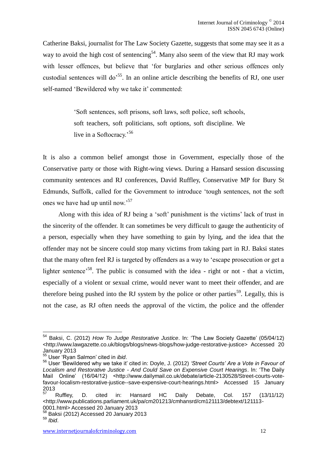Catherine Baksi, journalist for The Law Society Gazette, suggests that some may see it as a way to avoid the high cost of sentencing<sup>54</sup>. Many also seem of the view that RJ may work with lesser offences, but believe that 'for burglaries and other serious offences only custodial sentences will do<sup>555</sup>. In an online article describing the benefits of RJ, one user self-named 'Bewildered why we take it' commented:

> 'Soft sentences, soft prisons, soft laws, soft police, soft schools, soft teachers, soft politicians, soft options, soft discipline. We live in a Softocracy.<sup>56</sup>

It is also a common belief amongst those in Government, especially those of the Conservative party or those with Right-wing views. During a Hansard session discussing community sentences and RJ conferences, David Ruffley, Conservative MP for Bury St Edmunds, Suffolk, called for the Government to introduce 'tough sentences, not the soft ones we have had up until now.'<sup>57</sup>

Along with this idea of RJ being a 'soft' punishment is the victims' lack of trust in the sincerity of the offender. It can sometimes be very difficult to gauge the authenticity of a person, especially when they have something to gain by lying, and the idea that the offender may not be sincere could stop many victims from taking part in RJ. Baksi states that the many often feel RJ is targeted by offenders as a way to 'escape prosecution or get a lighter sentence<sup>58</sup>. The public is consumed with the idea - right or not - that a victim, especially of a violent or sexual crime, would never want to meet their offender, and are therefore being pushed into the RJ system by the police or other parties<sup>59</sup>. Legally, this is not the case, as RJ often needs the approval of the victim, the police and the offender

<sup>54</sup> Baksi, C. (2012) *How To Judge Restorative Justice*. In: 'The Law Society Gazette' (05/04/12) <http://www.lawgazette.co.uk/blogs/blogs/news-blogs/how-judge-restorative-justice> Accessed 20 January 2013

<sup>55</sup> User 'Ryan Salmon' cited in *ibid*.

<sup>56</sup> User 'Bewildered why we take it' cited in: Doyle, J. (2012) *'Street Courts' Are a Vote in Favour of Localism and Restorative Justice - And Could Save on Expensive Court Hearings*. In: 'The Daily Mail Online' (16/04/12) <http://www.dailymail.co.uk/debate/article-2130528/Street-courts-votefavour-localism-restorative-justice--save-expensive-court-hearings.html> Accessed 15 January 2013

 $57$  Ruffley, D. cited in: Hansard HC Daily Debate, Col. 157 (13/11/12) <http://www.publications.parliament.uk/pa/cm201213/cmhansrd/cm121113/debtext/121113 paniament.uk/<br>0001.html> Accessed 20 January 2013

 $B$  Baksi (2012) Accessed 20 January 2013

<sup>59</sup> *Ibid*.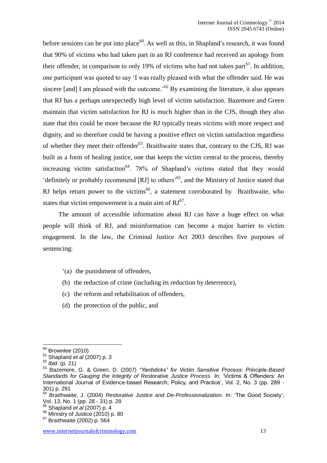before sessions can be put into place<sup>60</sup>. As well as this, in Shapland's research, it was found that 90% of victims who had taken part in an RJ conference had received an apology from their offender, in comparison to only 19% of victims who had not taken part $^{61}$ . In addition, one participant was quoted to say 'I was really pleased with what the offender said. He was sincere [and] I am pleased with the outcome.<sup>52</sup> By examining the literature, it also appears that RJ has a perhaps unexpectedly high level of victim satisfaction. Bazemore and Green maintain that victim satisfaction for RJ is much higher than in the CJS, though they also state that this could be more because the RJ typically treats victims with more respect and dignity, and so therefore could be having a positive effect on victim satisfaction regardless of whether they meet their offender<sup>63</sup>. Braithwaite states that, contrary to the CJS, RJ was built as a form of healing justice, one that keeps the victim central to the process, thereby increasing victim satisfaction<sup>64</sup>. 78% of Shapland's victims stated that they would 'definitely or probably recommend  $[RJ]$  to others<sup>565</sup>, and the Ministry of Justice stated that RJ helps return power to the victims<sup>66</sup>, a statement corroborated by Braithwaite, who states that victim empowerment is a main aim of  $RJ^{67}$ .

The amount of accessible information about RJ can have a huge effect on what people will think of RJ, and misinformation can become a major barrier to victim engagement. In the law, the Criminal Justice Act 2003 describes five purposes of sentencing:

- '(a) the punishment of offenders,
- (b) the reduction of crime (including its reduction by deterrence),
- (c) the reform and rehabilitation of offenders,
- (d) the protection of the public, and

 $60$  Brownlee (2010)

<sup>61</sup> Shapland *et al* (2007) p. 3

<sup>62</sup> *Ibid*. (p. 21)

<sup>63</sup> Bazemore, G. & Green, D. (2007) *"Yardsticks" for Victim Sensitive Process: Principle-Based Standards for Gauging the Integrity of Restorative Justice Process*. In: 'Victims & Offenders: An International Journal of Evidence-based Research, Policy, and Practice', Vol. 2, No. 3 (pp. 289 -  $301$ ) p. 291

<sup>64</sup> Braithwaite, J. (2004) *Restorative Justice and De-Professionalization*. In: 'The Good Society', Vol. 13, No. 1 (pp. 28 - 31) p. 28

<sup>65</sup> Shapland *et al* (2007) p. 4

 $66$  Ministry of Justice (2010) p. 80

<sup>67</sup> Braithwaite (2002) p. 564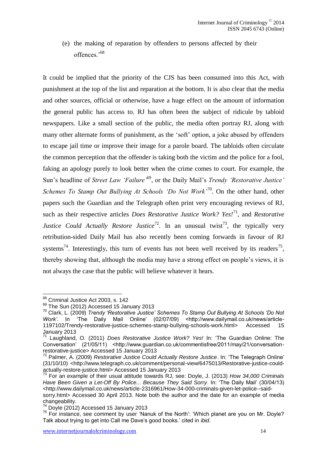(e) the making of reparation by offenders to persons affected by their offences.'<sup>68</sup>

It could be implied that the priority of the CJS has been consumed into this Act, with punishment at the top of the list and reparation at the bottom. It is also clear that the media and other sources, official or otherwise, have a huge effect on the amount of information the general public has access to. RJ has often been the subject of ridicule by tabloid newspapers. Like a small section of the public, the media often portray RJ, along with many other alternate forms of punishment, as the 'soft' option, a joke abused by offenders to escape jail time or improve their image for a parole board. The tabloids often circulate the common perception that the offender is taking both the victim and the police for a fool, faking an apology purely to look better when the crime comes to court. For example, the Sun's headline of *Street Law 'Failure'*<sup>69</sup>, or the Daily Mail's *Trendy 'Restorative Justice' Schemes To Stamp Out Bullying At Schools 'Do Not Work'*<sup>70</sup>. On the other hand, other papers such the Guardian and the Telegraph often print very encouraging reviews of RJ, such as their respective articles *Does Restorative Justice Work? Yes!*<sup>71</sup>, and *Restorative Justice Could Actually Restore Justice*<sup>72</sup>. In an unusual twist<sup>73</sup>, the typically very retribution-sided Daily Mail has also recently been coming forwards in favour of RJ systems<sup>74</sup>. Interestingly, this turn of events has not been well received by its readers<sup>75</sup>, thereby showing that, although the media may have a strong effect on people's views, it is not always the case that the public will believe whatever it hears.

 $68$  Criminal Justice Act 2003, s. 142

 $^{69}$  The Sun (2012) Accessed 15 January 2013

<sup>70</sup> Clark, L. (2009) *Trendy 'Restorative Justice' Schemes To Stamp Out Bullying At Schools 'Do Not Work'*. In 'The Daily Mail Online' (02/07/09) <http://www.dailymail.co.uk/news/article-1197102/Trendy-restorative-justice-schemes-stamp-bullying-schools-work.html> Accessed 15 January 2013

<sup>71</sup> Laughland, O. (2011) *Does Restorative Justice Work? Yes!* In: 'The Guardian Online: The Conversation' (21/05/11) <http://www.guardian.co.uk/commentisfree/2011/may/21/conversationrestorative-justice> Accessed 15 January 2013

<sup>72</sup> Palmer, A. (2009) *Restorative Justice Could Actually Restore Justice*. In: 'The Telegraph Online' (31/10/10) <http://www.telegraph.co.uk/comment/personal-view/6475013/Restorative-justice-couldactually-restore-justice.html> Accessed 15 January 2013

<sup>73</sup> For an example of their usual attitude towards RJ, see: Doyle, J. (2013) *How 34,000 Criminals Have Been Given a Let-Off By Police... Because They Said Sorry*. In: 'The Daily Mail' (30/04/13) <http://www.dailymail.co.uk/news/article-2316961/How-34-000-criminals-given-let-police--said-

sorry.html> Accessed 30 April 2013. Note both the author and the date for an example of media changeability.

<sup>&</sup>lt;sup>74</sup> Doyle (2012) Accessed 15 January 2013

 $75$  For instance, see comment by user 'Nanuk of the North': 'Which planet are you on Mr. Doyle? Talk about trying to get into Call me Dave's good books.' cited in *ibid*.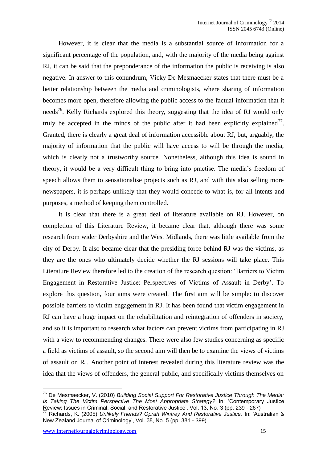However, it is clear that the media is a substantial source of information for a significant percentage of the population, and, with the majority of the media being against RJ, it can be said that the preponderance of the information the public is receiving is also negative. In answer to this conundrum, Vicky De Mesmaecker states that there must be a better relationship between the media and criminologists, where sharing of information becomes more open, therefore allowing the public access to the factual information that it needs<sup>76</sup>. Kelly Richards explored this theory, suggesting that the idea of RJ would only truly be accepted in the minds of the public after it had been explicitly explained<sup>77</sup>. Granted, there is clearly a great deal of information accessible about RJ, but, arguably, the majority of information that the public will have access to will be through the media, which is clearly not a trustworthy source. Nonetheless, although this idea is sound in theory, it would be a very difficult thing to bring into practise. The media's freedom of speech allows them to sensationalise projects such as RJ, and with this also selling more newspapers, it is perhaps unlikely that they would concede to what is, for all intents and purposes, a method of keeping them controlled.

It is clear that there is a great deal of literature available on RJ. However, on completion of this Literature Review, it became clear that, although there was some research from wider Derbyshire and the West Midlands, there was little available from the city of Derby. It also became clear that the presiding force behind RJ was the victims, as they are the ones who ultimately decide whether the RJ sessions will take place. This Literature Review therefore led to the creation of the research question: 'Barriers to Victim Engagement in Restorative Justice: Perspectives of Victims of Assault in Derby'. To explore this question, four aims were created. The first aim will be simple: to discover possible barriers to victim engagement in RJ. It has been found that victim engagement in RJ can have a huge impact on the rehabilitation and reintegration of offenders in society, and so it is important to research what factors can prevent victims from participating in RJ with a view to recommending changes. There were also few studies concerning as specific a field as victims of assault, so the second aim will then be to examine the views of victims of assault on RJ. Another point of interest revealed during this literature review was the idea that the views of offenders, the general public, and specifically victims themselves on

<sup>76</sup> De Mesmaecker, V. (2010) *Building Social Support For Restorative Justice Through The Media: Is Taking The Victim Perspective The Most Appropriate Strategy?* In: 'Contemporary Justice Review: Issues in Criminal, Social, and Restorative Justice', Vol. 13, No. 3 (pp. 239 - 267)

<sup>77</sup> Richards, K. (2005) *Unlikely Friends? Oprah Winfrey And Restorative Justice*. In: 'Australian & New Zealand Journal of Criminology', Vol. 38, No. 5 (pp. 381 - 399)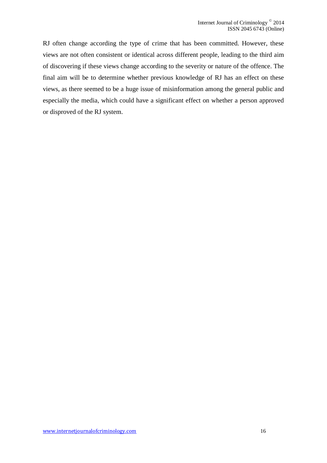RJ often change according the type of crime that has been committed. However, these views are not often consistent or identical across different people, leading to the third aim of discovering if these views change according to the severity or nature of the offence. The final aim will be to determine whether previous knowledge of RJ has an effect on these views, as there seemed to be a huge issue of misinformation among the general public and especially the media, which could have a significant effect on whether a person approved or disproved of the RJ system.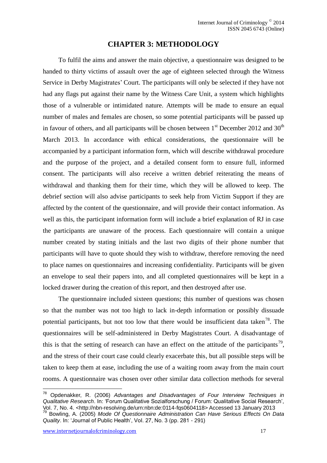#### **CHAPTER 3: METHODOLOGY**

<span id="page-17-0"></span>To fulfil the aims and answer the main objective, a questionnaire was designed to be handed to thirty victims of assault over the age of eighteen selected through the Witness Service in Derby Magistrates' Court. The participants will only be selected if they have not had any flags put against their name by the Witness Care Unit, a system which highlights those of a vulnerable or intimidated nature. Attempts will be made to ensure an equal number of males and females are chosen, so some potential participants will be passed up in favour of others, and all participants will be chosen between  $1<sup>st</sup>$  December 2012 and 30<sup>th</sup> March 2013. In accordance with ethical considerations, the questionnaire will be accompanied by a participant information form, which will describe withdrawal procedure and the purpose of the project, and a detailed consent form to ensure full, informed consent. The participants will also receive a written debrief reiterating the means of withdrawal and thanking them for their time, which they will be allowed to keep. The debrief section will also advise participants to seek help from Victim Support if they are affected by the content of the questionnaire, and will provide their contact information. As well as this, the participant information form will include a brief explanation of RJ in case the participants are unaware of the process. Each questionnaire will contain a unique number created by stating initials and the last two digits of their phone number that participants will have to quote should they wish to withdraw, therefore removing the need to place names on questionnaires and increasing confidentiality. Participants will be given an envelope to seal their papers into, and all completed questionnaires will be kept in a locked drawer during the creation of this report, and then destroyed after use.

The questionnaire included sixteen questions; this number of questions was chosen so that the number was not too high to lack in-depth information or possibly dissuade potential participants, but not too low that there would be insufficient data taken<sup>78</sup>. The questionnaires will be self-administered in Derby Magistrates Court. A disadvantage of this is that the setting of research can have an effect on the attitude of the participants<sup>79</sup>, and the stress of their court case could clearly exacerbate this, but all possible steps will be taken to keep them at ease, including the use of a waiting room away from the main court rooms. A questionnaire was chosen over other similar data collection methods for several

<sup>78</sup> Opdenakker, R. (2006) *Advantages and Disadvantages of Four Interview Techniques in Qualitative Research*. In: 'Forum Qualitative Sozialforschung / Forum: Qualitative Social Research', Vol. 7, No. 4. <http://nbn-resolving.de/urn:nbn:de:0114-fqs0604118> Accessed 13 January 2013

<sup>79</sup> Bowling, A. (2005) *Mode Of Questionnaire Administration Can Have Serious Effects On Data Quality*. In: 'Journal of Public Health', VoI. 27, No. 3 (pp. 281 - 291)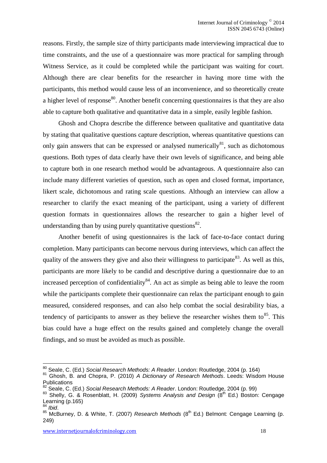reasons. Firstly, the sample size of thirty participants made interviewing impractical due to time constraints, and the use of a questionnaire was more practical for sampling through Witness Service, as it could be completed while the participant was waiting for court. Although there are clear benefits for the researcher in having more time with the participants, this method would cause less of an inconvenience, and so theoretically create a higher level of response<sup>80</sup>. Another benefit concerning questionnaires is that they are also able to capture both qualitative and quantitative data in a simple, easily legible fashion.

Ghosh and Chopra describe the difference between qualitative and quantitative data by stating that qualitative questions capture description, whereas quantitative questions can only gain answers that can be expressed or analysed numerically $81$ , such as dichotomous questions. Both types of data clearly have their own levels of significance, and being able to capture both in one research method would be advantageous. A questionnaire also can include many different varieties of question, such as open and closed format, importance, likert scale, dichotomous and rating scale questions. Although an interview can allow a researcher to clarify the exact meaning of the participant, using a variety of different question formats in questionnaires allows the researcher to gain a higher level of understanding than by using purely quantitative questions $^{82}$ .

Another benefit of using questionnaires is the lack of face-to-face contact during completion. Many participants can become nervous during interviews, which can affect the quality of the answers they give and also their willingness to participate<sup>83</sup>. As well as this, participants are more likely to be candid and descriptive during a questionnaire due to an increased perception of confidentiality<sup>84</sup>. An act as simple as being able to leave the room while the participants complete their questionnaire can relax the participant enough to gain measured, considered responses, and can also help combat the social desirability bias, a tendency of participants to answer as they believe the researcher wishes them to  $85$ . This bias could have a huge effect on the results gained and completely change the overall findings, and so must be avoided as much as possible.

<sup>80</sup> Seale, C. (Ed.) *Social Research Methods: A Reader*. London: Routledge, 2004 (p. 164)

<sup>81</sup> Ghosh, B. and Chopra, P. (2010) *A Dictionary of Research Methods*. Leeds: Wisdom House **Publications** 

<sup>82</sup> Seale, C. (Ed.) *Social Research Methods: A Reader*. London: Routledge, 2004 (p. 99)

<sup>&</sup>lt;sup>83</sup> Shelly, G. & Rosenblatt, H. (2009) Systems Analysis and Design (8<sup>th</sup> Ed.) Boston: Cengage Learning (p.165)

<sup>84</sup> *Ibid*.

<sup>85</sup> McBurney, D. & White, T. (2007) *Research Methods* (8th Ed.) Belmont: Cengage Learning (p. 249)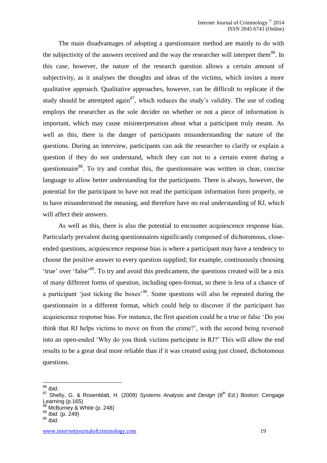The main disadvantages of adopting a questionnaire method are mainly to do with the subjectivity of the answers received and the way the researcher will interpret them<sup>86</sup>. In this case, however, the nature of the research question allows a certain amount of subjectivity, as it analyses the thoughts and ideas of the victims, which invites a more qualitative approach. Qualitative approaches, however, can be difficult to replicate if the study should be attempted again<sup>87</sup>, which reduces the study's validity. The use of coding employs the researcher as the sole decider on whether or not a piece of information is important, which may cause misinterpretation about what a participant truly meant. As well as this, there is the danger of participants misunderstanding the nature of the questions. During an interview, participants can ask the researcher to clarify or explain a question if they do not understand, which they can not to a certain extent during a questionnaire<sup>88</sup>. To try and combat this, the questionnaire was written in clear, concise language to allow better understanding for the participants. There is always, however, the potential for the participant to have not read the participant information form properly, or to have misunderstood the meaning, and therefore have no real understanding of RJ, which will affect their answers.

As well as this, there is also the potential to encounter acquiescence response bias. Particularly prevalent during questionnaires significantly composed of dichotomous, closeended questions, acquiescence response bias is where a participant may have a tendency to choose the positive answer to every question supplied; for example, continuously choosing 'true' over 'false'<sup>89</sup>. To try and avoid this predicament, the questions created will be a mix of many different forms of question, including open-format, so there is less of a chance of a participant 'just ticking the boxes'<sup>90</sup>. Some questions will also be repeated during the questionnaire in a different format, which could help to discover if the participant has acquiescence response bias. For instance, the first question could be a true or false 'Do you think that RJ helps victims to move on from the crime?', with the second being reversed into an open-ended 'Why do you think victims participate in RJ?' This will allow the end results to be a great deal more reliable than if it was created using just closed, dichotomous questions.

<sup>86</sup> *Ibid*.

<sup>&</sup>lt;sup>87</sup> Shelly, G. & Rosenblatt, H. (2009) Systems Analysis and Design (8<sup>th</sup> Ed.) Boston: Cengage Learning (p.165)

<sup>88</sup> McBurney & White (p. 248)

<sup>89</sup> *Ibid.* (p. 249)

<sup>90</sup> *Ibid*.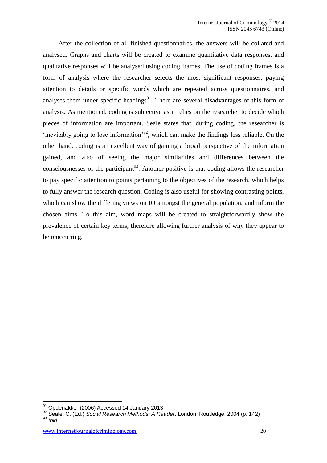After the collection of all finished questionnaires, the answers will be collated and analysed. Graphs and charts will be created to examine quantitative data responses, and qualitative responses will be analysed using coding frames. The use of coding frames is a form of analysis where the researcher selects the most significant responses, paying attention to details or specific words which are repeated across questionnaires, and analyses them under specific headings<sup>91</sup>. There are several disadvantages of this form of analysis. As mentioned, coding is subjective as it relies on the researcher to decide which pieces of information are important. Seale states that, during coding, the researcher is 'inevitably going to lose information'<sup>92</sup>, which can make the findings less reliable. On the other hand, coding is an excellent way of gaining a broad perspective of the information gained, and also of seeing the major similarities and differences between the consciousnesses of the participant<sup>93</sup>. Another positive is that coding allows the researcher to pay specific attention to points pertaining to the objectives of the research, which helps to fully answer the research question. Coding is also useful for showing contrasting points, which can show the differing views on RJ amongst the general population, and inform the chosen aims. To this aim, word maps will be created to straightforwardly show the prevalence of certain key terms, therefore allowing further analysis of why they appear to be reoccurring.

<sup>91</sup> Opdenakker (2006) Accessed 14 January 2013

<sup>92</sup> Seale, C. (Ed.) *Social Research Methods: A Reader*. London: Routledge, 2004 (p. 142) <sup>93</sup> *Ibid*.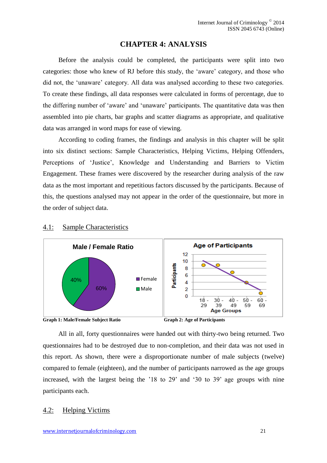## **CHAPTER 4: ANALYSIS**

<span id="page-21-0"></span>Before the analysis could be completed, the participants were split into two categories: those who knew of RJ before this study, the 'aware' category, and those who did not, the 'unaware' category. All data was analysed according to these two categories. To create these findings, all data responses were calculated in forms of percentage, due to the differing number of 'aware' and 'unaware' participants. The quantitative data was then assembled into pie charts, bar graphs and scatter diagrams as appropriate, and qualitative data was arranged in word maps for ease of viewing.

According to coding frames, the findings and analysis in this chapter will be split into six distinct sections: Sample Characteristics, Helping Victims, Helping Offenders, Perceptions of 'Justice', Knowledge and Understanding and Barriers to Victim Engagement. These frames were discovered by the researcher during analysis of the raw data as the most important and repetitious factors discussed by the participants. Because of this, the questions analysed may not appear in the order of the questionnaire, but more in the order of subject data.



#### <span id="page-21-1"></span>4.1: Sample Characteristics

All in all, forty questionnaires were handed out with thirty-two being returned. Two questionnaires had to be destroyed due to non-completion, and their data was not used in this report. As shown, there were a disproportionate number of male subjects (twelve) compared to female (eighteen), and the number of participants narrowed as the age groups increased, with the largest being the '18 to 29' and '30 to 39' age groups with nine participants each.

#### <span id="page-21-2"></span>4.2: Helping Victims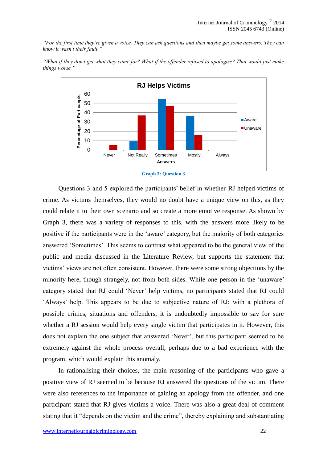*"For the first time they're given a voice. They can ask questions and then maybe get some answers. They can know it wasn't their fault."*



*"What if they don't get what they came for? What if the offender refused to apologise? That would just make things worse."*



Questions 3 and 5 explored the participants' belief in whether RJ helped victims of crime. As victims themselves, they would no doubt have a unique view on this, as they could relate it to their own scenario and so create a more emotive response. As shown by Graph 3, there was a variety of responses to this, with the answers more likely to be positive if the participants were in the 'aware' category, but the majority of both categories answered 'Sometimes'. This seems to contrast what appeared to be the general view of the public and media discussed in the Literature Review, but supports the statement that victims' views are not often consistent. However, there were some strong objections by the minority here, though strangely, not from both sides. While one person in the 'unaware' category stated that RJ could 'Never' help victims, no participants stated that RJ could 'Always' help. This appears to be due to subjective nature of RJ; with a plethora of possible crimes, situations and offenders, it is undoubtedly impossible to say for sure whether a RJ session would help every single victim that participates in it. However, this does not explain the one subject that answered 'Never', but this participant seemed to be extremely against the whole process overall, perhaps due to a bad experience with the program, which would explain this anomaly.

In rationalising their choices, the main reasoning of the participants who gave a positive view of RJ seemed to be because RJ answered the questions of the victim. There were also references to the importance of gaining an apology from the offender, and one participant stated that RJ gives victims a voice. There was also a great deal of comment stating that it "depends on the victim and the crime", thereby explaining and substantiating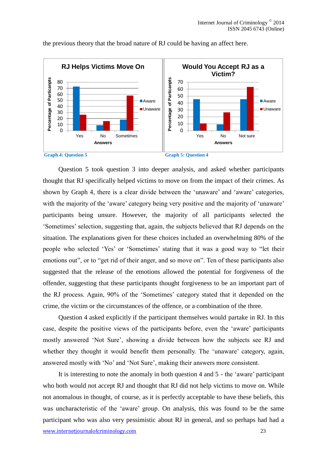

the previous theory that the broad nature of RJ could be having an affect here.

Question 5 took question 3 into deeper analysis, and asked whether participants thought that RJ specifically helped victims to move on from the impact of their crimes. As shown by Graph 4, there is a clear divide between the 'unaware' and 'aware' categories, with the majority of the 'aware' category being very positive and the majority of 'unaware' participants being unsure. However, the majority of all participants selected the 'Sometimes' selection, suggesting that, again, the subjects believed that RJ depends on the situation. The explanations given for these choices included an overwhelming 80% of the people who selected 'Yes' or 'Sometimes' stating that it was a good way to "let their emotions out", or to "get rid of their anger, and so move on". Ten of these participants also suggested that the release of the emotions allowed the potential for forgiveness of the offender, suggesting that these participants thought forgiveness to be an important part of the RJ process. Again, 90% of the 'Sometimes' category stated that it depended on the crime, the victim or the circumstances of the offence, or a combination of the three.

Question 4 asked explicitly if the participant themselves would partake in RJ. In this case, despite the positive views of the participants before, even the 'aware' participants mostly answered 'Not Sure', showing a divide between how the subjects see RJ and whether they thought it would benefit them personally. The 'unaware' category, again, answered mostly with 'No' and 'Not Sure', making their answers more consistent.

www.internetjournalofcriminology.com 23 It is interesting to note the anomaly in both question 4 and 5 - the 'aware' participant who both would not accept RJ and thought that RJ did not help victims to move on. While not anomalous in thought, of course, as it is perfectly acceptable to have these beliefs, this was uncharacteristic of the 'aware' group. On analysis, this was found to be the same participant who was also very pessimistic about RJ in general, and so perhaps had had a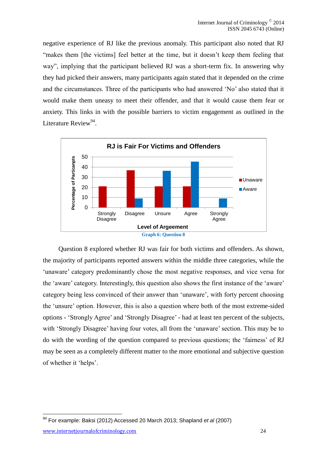negative experience of RJ like the previous anomaly. This participant also noted that RJ "makes them [the victims] feel better at the time, but it doesn't keep them feeling that way", implying that the participant believed RJ was a short-term fix. In answering why they had picked their answers, many participants again stated that it depended on the crime and the circumstances. Three of the participants who had answered 'No' also stated that it would make them uneasy to meet their offender, and that it would cause them fear or anxiety. This links in with the possible barriers to victim engagement as outlined in the Literature Review<sup>94</sup>.



Question 8 explored whether RJ was fair for both victims and offenders. As shown, the majority of participants reported answers within the middle three categories, while the 'unaware' category predominantly chose the most negative responses, and vice versa for the 'aware' category. Interestingly, this question also shows the first instance of the 'aware' category being less convinced of their answer than 'unaware', with forty percent choosing the 'unsure' option. However, this is also a question where both of the most extreme-sided options - 'Strongly Agree' and 'Strongly Disagree' - had at least ten percent of the subjects, with 'Strongly Disagree' having four votes, all from the 'unaware' section. This may be to do with the wording of the question compared to previous questions; the 'fairness' of RJ may be seen as a completely different matter to the more emotional and subjective question of whether it 'helps'.

www.internetjournalofcriminology.com 24

<sup>94</sup> For example: Baksi (2012) Accessed 20 March 2013; Shapland *et al* (2007)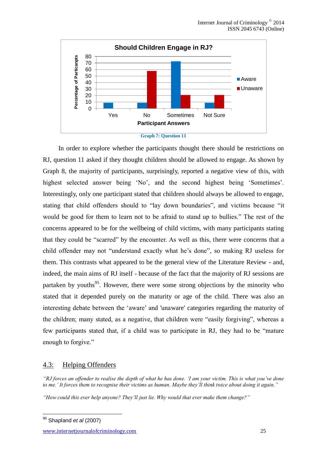



In order to explore whether the participants thought there should be restrictions on RJ, question 11 asked if they thought children should be allowed to engage. As shown by Graph 8, the majority of participants, surprisingly, reported a negative view of this, with highest selected answer being 'No', and the second highest being 'Sometimes'. Interestingly, only one participant stated that children should always be allowed to engage, stating that child offenders should to "lay down boundaries", and victims because "it would be good for them to learn not to be afraid to stand up to bullies." The rest of the concerns appeared to be for the wellbeing of child victims, with many participants stating that they could be "scarred" by the encounter. As well as this, there were concerns that a child offender may not "understand exactly what he's done", so making RJ useless for them. This contrasts what appeared to be the general view of the Literature Review - and, indeed, the main aims of RJ itself - because of the fact that the majority of RJ sessions are partaken by youths<sup>95</sup>. However, there were some strong objections by the minority who stated that it depended purely on the maturity or age of the child. There was also an interesting debate between the 'aware' and 'unaware' categories regarding the maturity of the children; many stated, as a negative, that children were "easily forgiving", whereas a few participants stated that, if a child was to participate in RJ, they had to be "mature enough to forgive."

# <span id="page-25-0"></span>4.3: Helping Offenders

*"RJ forces an offender to realise the depth of what he has done. 'I am your victim. This is what you've done to me.' It forces them to recognise their victims as human. Maybe they'll think twice about doing it again."*

*"How could this ever help anyone? They'll just lie. Why would that ever make them change?"*

<sup>1</sup> <sup>95</sup> Shapland *et al* (2007)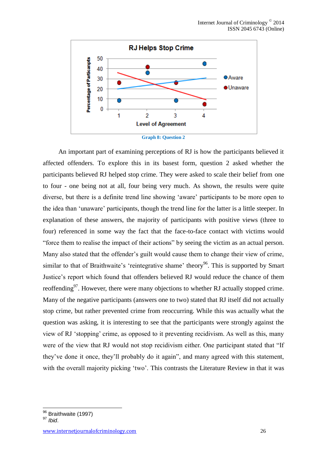

An important part of examining perceptions of RJ is how the participants believed it affected offenders. To explore this in its basest form, question 2 asked whether the participants believed RJ helped stop crime. They were asked to scale their belief from one to four - one being not at all, four being very much. As shown, the results were quite diverse, but there is a definite trend line showing 'aware' participants to be more open to the idea than 'unaware' participants, though the trend line for the latter is a little steeper. In explanation of these answers, the majority of participants with positive views (three to four) referenced in some way the fact that the face-to-face contact with victims would "force them to realise the impact of their actions" by seeing the victim as an actual person. Many also stated that the offender's guilt would cause them to change their view of crime, similar to that of Braithwaite's 'reintegrative shame' theory<sup>96</sup>. This is supported by Smart Justice's report which found that offenders believed RJ would reduce the chance of them reoffending<sup>97</sup>. However, there were many objections to whether RJ actually stopped crime. Many of the negative participants (answers one to two) stated that RJ itself did not actually stop crime, but rather prevented crime from reoccurring. While this was actually what the question was asking, it is interesting to see that the participants were strongly against the view of RJ 'stopping' crime, as opposed to it preventing recidivism. As well as this, many were of the view that RJ would not stop recidivism either. One participant stated that "If they've done it once, they'll probably do it again", and many agreed with this statement, with the overall majority picking 'two'. This contrasts the Literature Review in that it was

 $\frac{96}{10}$  Braithwaite (1997)

<sup>97</sup> *Ibid*.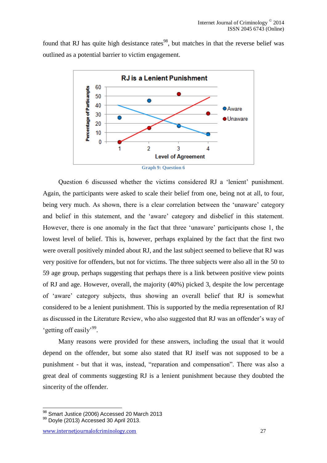found that RJ has quite high desistance rates<sup>98</sup>, but matches in that the reverse belief was outlined as a potential barrier to victim engagement.



**Graph 9: Question 6**

Question 6 discussed whether the victims considered RJ a 'lenient' punishment. Again, the participants were asked to scale their belief from one, being not at all, to four, being very much. As shown, there is a clear correlation between the 'unaware' category and belief in this statement, and the 'aware' category and disbelief in this statement. However, there is one anomaly in the fact that three 'unaware' participants chose 1, the lowest level of belief. This is, however, perhaps explained by the fact that the first two were overall positively minded about RJ, and the last subject seemed to believe that RJ was very positive for offenders, but not for victims. The three subjects were also all in the 50 to 59 age group, perhaps suggesting that perhaps there is a link between positive view points of RJ and age. However, overall, the majority (40%) picked 3, despite the low percentage of 'aware' category subjects, thus showing an overall belief that RJ is somewhat considered to be a lenient punishment. This is supported by the media representation of RJ as discussed in the Literature Review, who also suggested that RJ was an offender's way of 'getting off easily'<sup>99</sup>.

Many reasons were provided for these answers, including the usual that it would depend on the offender, but some also stated that RJ itself was not supposed to be a punishment - but that it was, instead, "reparation and compensation". There was also a great deal of comments suggesting RJ is a lenient punishment because they doubted the sincerity of the offender.

<sup>98</sup> Smart Justice (2006) Accessed 20 March 2013

<sup>99</sup> Dovle (2013) Accessed 30 April 2013.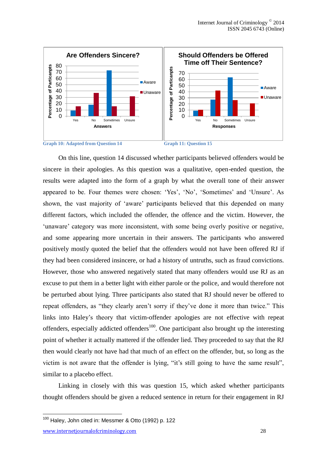

On this line, question 14 discussed whether participants believed offenders would be sincere in their apologies. As this question was a qualitative, open-ended question, the results were adapted into the form of a graph by what the overall tone of their answer appeared to be. Four themes were chosen: 'Yes', 'No', 'Sometimes' and 'Unsure'. As shown, the vast majority of 'aware' participants believed that this depended on many different factors, which included the offender, the offence and the victim. However, the 'unaware' category was more inconsistent, with some being overly positive or negative, and some appearing more uncertain in their answers. The participants who answered positively mostly quoted the belief that the offenders would not have been offered RJ if they had been considered insincere, or had a history of untruths, such as fraud convictions. However, those who answered negatively stated that many offenders would use RJ as an excuse to put them in a better light with either parole or the police, and would therefore not be perturbed about lying. Three participants also stated that RJ should never be offered to repeat offenders, as "they clearly aren't sorry if they've done it more than twice." This links into Haley's theory that victim-offender apologies are not effective with repeat offenders, especially addicted offenders<sup>100</sup>. One participant also brought up the interesting point of whether it actually mattered if the offender lied. They proceeded to say that the RJ then would clearly not have had that much of an effect on the offender, but, so long as the victim is not aware that the offender is lying, "it's still going to have the same result", similar to a placebo effect.

Linking in closely with this was question 15, which asked whether participants thought offenders should be given a reduced sentence in return for their engagement in RJ

www.internetjournalofcriminology.com 28

 $100$  Haley, John cited in: Messmer & Otto (1992) p. 122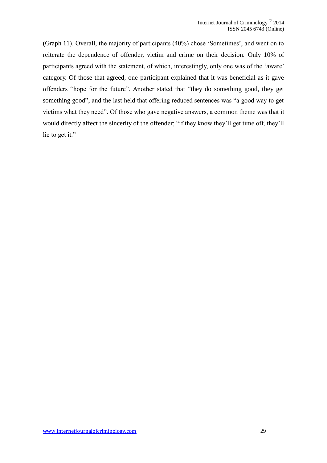(Graph 11). Overall, the majority of participants (40%) chose 'Sometimes', and went on to reiterate the dependence of offender, victim and crime on their decision. Only 10% of participants agreed with the statement, of which, interestingly, only one was of the 'aware' category. Of those that agreed, one participant explained that it was beneficial as it gave offenders "hope for the future". Another stated that "they do something good, they get something good", and the last held that offering reduced sentences was "a good way to get victims what they need". Of those who gave negative answers, a common theme was that it would directly affect the sincerity of the offender; "if they know they'll get time off, they'll lie to get it."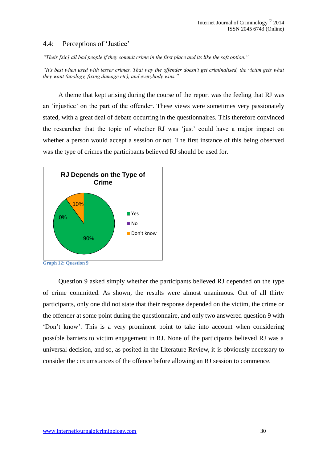#### <span id="page-30-0"></span>4.4: Perceptions of 'Justice'

*"Their [sic] all bad people if they commit crime in the first place and its like the soft option."*

*"It's best when used with lesser crimes. That way the offender doesn't get criminalised, the victim gets what they want (apology, fixing damage etc), and everybody wins."*

A theme that kept arising during the course of the report was the feeling that RJ was an 'injustice' on the part of the offender. These views were sometimes very passionately stated, with a great deal of debate occurring in the questionnaires. This therefore convinced the researcher that the topic of whether RJ was 'just' could have a major impact on whether a person would accept a session or not. The first instance of this being observed was the type of crimes the participants believed RJ should be used for.



**Graph 12: Question 9**

Question 9 asked simply whether the participants believed RJ depended on the type of crime committed. As shown, the results were almost unanimous. Out of all thirty participants, only one did not state that their response depended on the victim, the crime or the offender at some point during the questionnaire, and only two answered question 9 with 'Don't know'. This is a very prominent point to take into account when considering possible barriers to victim engagement in RJ. None of the participants believed RJ was a universal decision, and so, as posited in the Literature Review, it is obviously necessary to consider the circumstances of the offence before allowing an RJ session to commence.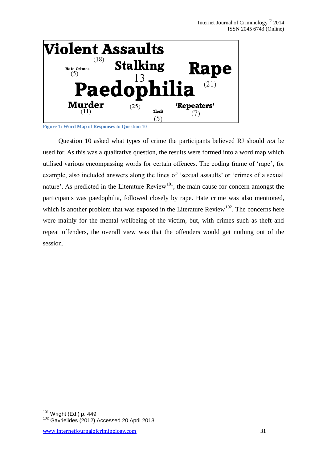

**Figure 1: Word Map of Responses to Question 10**

Question 10 asked what types of crime the participants believed RJ should *not* be used for. As this was a qualitative question, the results were formed into a word map which utilised various encompassing words for certain offences. The coding frame of 'rape', for example, also included answers along the lines of 'sexual assaults' or 'crimes of a sexual nature'. As predicted in the Literature Review<sup>101</sup>, the main cause for concern amongst the participants was paedophilia, followed closely by rape. Hate crime was also mentioned, which is another problem that was exposed in the Literature Review<sup>102</sup>. The concerns here were mainly for the mental wellbeing of the victim, but, with crimes such as theft and repeat offenders, the overall view was that the offenders would get nothing out of the session.

<sup>&</sup>lt;u>.</u> 101 Wright (Ed.) p. 449

<sup>&</sup>lt;sup>102</sup> Gavrielides (2012) Accessed 20 April 2013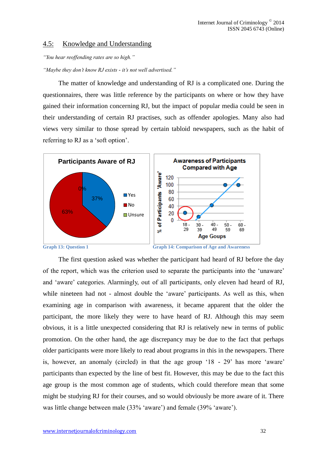#### <span id="page-32-0"></span>4.5: Knowledge and Understanding

*"You hear reoffending rates are so high."*

*"Maybe they don't know RJ exists - it's not well advertised."*

The matter of knowledge and understanding of RJ is a complicated one. During the questionnaires, there was little reference by the participants on where or how they have gained their information concerning RJ, but the impact of popular media could be seen in their understanding of certain RJ practises, such as offender apologies. Many also had views very similar to those spread by certain tabloid newspapers, such as the habit of referring to RJ as a 'soft option'.



**Graph 13: Question 1 Graph 14: Comparison of Age and Awareness**

The first question asked was whether the participant had heard of RJ before the day of the report, which was the criterion used to separate the participants into the 'unaware' and 'aware' categories. Alarmingly, out of all participants, only eleven had heard of RJ, while nineteen had not - almost double the 'aware' participants. As well as this, when examining age in comparison with awareness, it became apparent that the older the participant, the more likely they were to have heard of RJ. Although this may seem obvious, it is a little unexpected considering that RJ is relatively new in terms of public promotion. On the other hand, the age discrepancy may be due to the fact that perhaps older participants were more likely to read about programs in this in the newspapers. There is, however, an anomaly (circled) in that the age group '18 - 29' has more 'aware' participants than expected by the line of best fit. However, this may be due to the fact this age group is the most common age of students, which could therefore mean that some might be studying RJ for their courses, and so would obviously be more aware of it. There was little change between male (33% 'aware') and female (39% 'aware').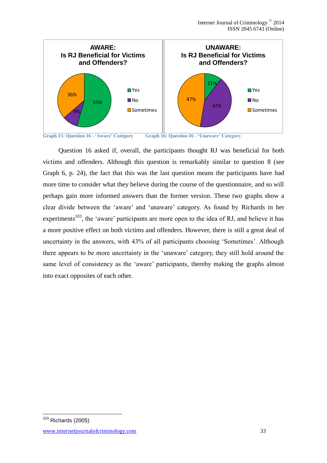

**Graph 15: Question 16 - 'Aware' Category Graph 16: Question 16 - 'Unaware' Category**

Question 16 asked if, overall, the participants thought RJ was beneficial for both victims and offenders. Although this question is remarkably similar to question 8 (see Graph 6, p. 24), the fact that this was the last question means the participants have had more time to consider what they believe during the course of the questionnaire, and so will perhaps gain more informed answers than the former version. These two graphs show a clear divide between the 'aware' and 'unaware' category. As found by Richards in her experiments<sup>103</sup>, the 'aware' participants are more open to the idea of RJ, and believe it has a more positive effect on both victims and offenders. However, there is still a great deal of uncertainty in the answers, with 43% of all participants choosing 'Sometimes'. Although there appears to be more uncertainty in the 'unaware' category, they still hold around the same level of consistency as the 'aware' participants, thereby making the graphs almost into exact opposites of each other.

<sup>1</sup>  $103$  Richards (2005)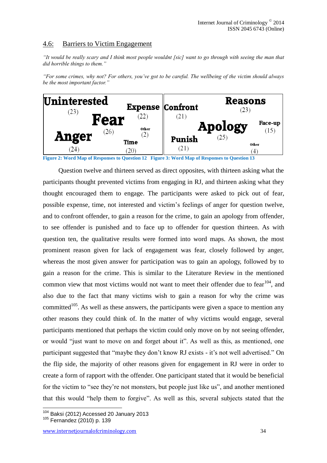# <span id="page-34-0"></span>4.6: Barriers to Victim Engagement

*"It would be really scary and I think most people wouldnt [sic] want to go through with seeing the man that did horrible things to them."*

*"For some crimes, why not? For others, you've got to be careful. The wellbeing of the victim should always be the most important factor."*



**Figure 2: Word Map of Responses to Question 12 Figure 3: Word Map of Responses to Question 13**

Question twelve and thirteen served as direct opposites, with thirteen asking what the participants thought prevented victims from engaging in RJ, and thirteen asking what they thought encouraged them to engage. The participants were asked to pick out of fear, possible expense, time, not interested and victim's feelings of anger for question twelve, and to confront offender, to gain a reason for the crime, to gain an apology from offender, to see offender is punished and to face up to offender for question thirteen. As with question ten, the qualitative results were formed into word maps. As shown, the most prominent reason given for lack of engagement was fear, closely followed by anger, whereas the most given answer for participation was to gain an apology, followed by to gain a reason for the crime. This is similar to the Literature Review in the mentioned common view that most victims would not want to meet their offender due to fear  $104$ , and also due to the fact that many victims wish to gain a reason for why the crime was committed<sup>105</sup>. As well as these answers, the participants were given a space to mention any other reasons they could think of. In the matter of why victims would engage, several participants mentioned that perhaps the victim could only move on by not seeing offender, or would "just want to move on and forget about it". As well as this, as mentioned, one participant suggested that "maybe they don't know RJ exists - it's not well advertised." On the flip side, the majority of other reasons given for engagement in RJ were in order to create a form of rapport with the offender. One participant stated that it would be beneficial for the victim to "see they're not monsters, but people just like us", and another mentioned that this would "help them to forgive". As well as this, several subjects stated that the

<sup>&</sup>lt;u>.</u> <sup>104</sup> Baksi (2012) Accessed 20 January 2013

<sup>105</sup> Fernandez (2010) p. 139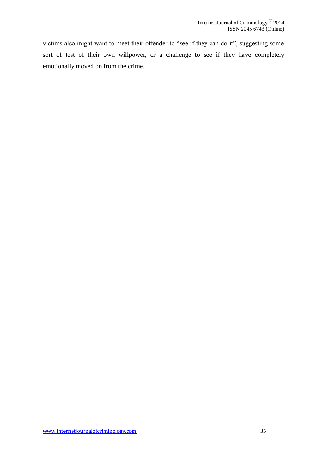victims also might want to meet their offender to "see if they can do it", suggesting some sort of test of their own willpower, or a challenge to see if they have completely emotionally moved on from the crime.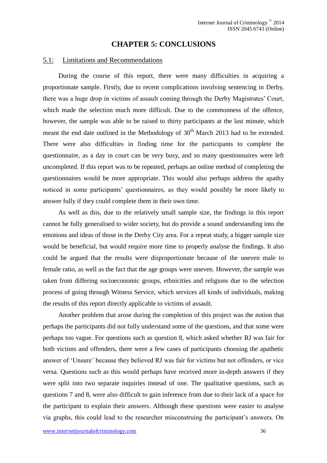#### **CHAPTER 5: CONCLUSIONS**

#### <span id="page-36-1"></span><span id="page-36-0"></span>5.1: Limitations and Recommendations

During the course of this report, there were many difficulties in acquiring a proportionate sample. Firstly, due to recent complications involving sentencing in Derby, there was a huge drop in victims of assault coming through the Derby Magistrates' Court, which made the selection much more difficult. Due to the commonness of the offence, however, the sample was able to be raised to thirty participants at the last minute, which meant the end date outlined in the Methodology of  $30<sup>th</sup>$  March 2013 had to be extended. There were also difficulties in finding time for the participants to complete the questionnaire, as a day in court can be very busy, and so many questionnaires were left uncompleted. If this report was to be repeated, perhaps an online method of completing the questionnaires would be more appropriate. This would also perhaps address the apathy noticed in some participants' questionnaires, as they would possibly be more likely to answer fully if they could complete them in their own time.

As well as this, due to the relatively small sample size, the findings in this report cannot be fully generalised to wider society, but do provide a sound understanding into the emotions and ideas of those in the Derby City area. For a repeat study, a bigger sample size would be beneficial, but would require more time to properly analyse the findings. It also could be argued that the results were disproportionate because of the uneven male to female ratio, as well as the fact that the age groups were uneven. However, the sample was taken from differing socioeconomic groups, ethnicities and religions due to the selection process of going through Witness Service, which services all kinds of individuals, making the results of this report directly applicable to victims of assault.

Another problem that arose during the completion of this project was the notion that perhaps the participants did not fully understand some of the questions, and that some were perhaps too vague. For questions such as question 8, which asked whether RJ was fair for both victims and offenders, there were a few cases of participants choosing the apathetic answer of 'Unsure' because they believed RJ was fair for victims but not offenders, or vice versa. Questions such as this would perhaps have received more in-depth answers if they were split into two separate inquiries instead of one. The qualitative questions, such as questions 7 and 8, were also difficult to gain inference from due to their lack of a space for the participant to explain their answers. Although these questions were easier to analyse via graphs, this could lead to the researcher misconstruing the participant's answers. On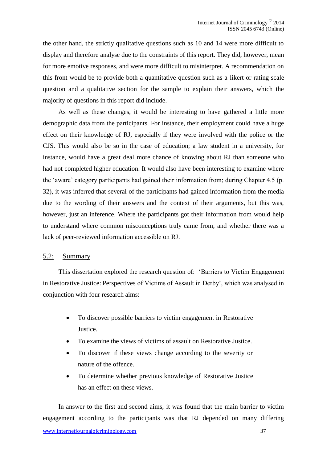the other hand, the strictly qualitative questions such as 10 and 14 were more difficult to display and therefore analyse due to the constraints of this report. They did, however, mean for more emotive responses, and were more difficult to misinterpret. A recommendation on this front would be to provide both a quantitative question such as a likert or rating scale question and a qualitative section for the sample to explain their answers, which the majority of questions in this report did include.

As well as these changes, it would be interesting to have gathered a little more demographic data from the participants. For instance, their employment could have a huge effect on their knowledge of RJ, especially if they were involved with the police or the CJS. This would also be so in the case of education; a law student in a university, for instance, would have a great deal more chance of knowing about RJ than someone who had not completed higher education. It would also have been interesting to examine where the 'aware' category participants had gained their information from; during Chapter 4.5 (p. 32), it was inferred that several of the participants had gained information from the media due to the wording of their answers and the context of their arguments, but this was, however, just an inference. Where the participants got their information from would help to understand where common misconceptions truly came from, and whether there was a lack of peer-reviewed information accessible on RJ.

#### <span id="page-37-0"></span>5.2: Summary

This dissertation explored the research question of: 'Barriers to Victim Engagement in Restorative Justice: Perspectives of Victims of Assault in Derby', which was analysed in conjunction with four research aims:

- To discover possible barriers to victim engagement in Restorative Justice.
- To examine the views of victims of assault on Restorative Justice.
- To discover if these views change according to the severity or nature of the offence.
- To determine whether previous knowledge of Restorative Justice has an effect on these views.

In answer to the first and second aims, it was found that the main barrier to victim engagement according to the participants was that RJ depended on many differing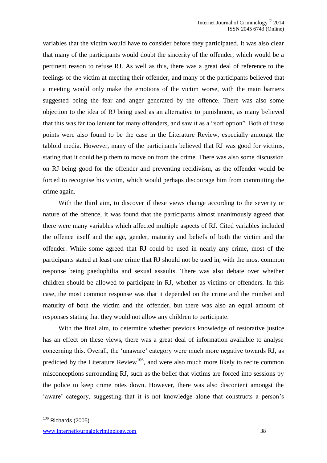variables that the victim would have to consider before they participated. It was also clear that many of the participants would doubt the sincerity of the offender, which would be a pertinent reason to refuse RJ. As well as this, there was a great deal of reference to the feelings of the victim at meeting their offender, and many of the participants believed that a meeting would only make the emotions of the victim worse, with the main barriers suggested being the fear and anger generated by the offence. There was also some objection to the idea of RJ being used as an alternative to punishment, as many believed that this was far too lenient for many offenders, and saw it as a "soft option". Both of these points were also found to be the case in the Literature Review, especially amongst the tabloid media. However, many of the participants believed that RJ was good for victims, stating that it could help them to move on from the crime. There was also some discussion on RJ being good for the offender and preventing recidivism, as the offender would be forced to recognise his victim, which would perhaps discourage him from committing the crime again.

With the third aim, to discover if these views change according to the severity or nature of the offence, it was found that the participants almost unanimously agreed that there were many variables which affected multiple aspects of RJ. Cited variables included the offence itself and the age, gender, maturity and beliefs of both the victim and the offender. While some agreed that RJ could be used in nearly any crime, most of the participants stated at least one crime that RJ should not be used in, with the most common response being paedophilia and sexual assaults. There was also debate over whether children should be allowed to participate in RJ, whether as victims or offenders. In this case, the most common response was that it depended on the crime and the mindset and maturity of both the victim and the offender, but there was also an equal amount of responses stating that they would not allow any children to participate.

With the final aim, to determine whether previous knowledge of restorative justice has an effect on these views, there was a great deal of information available to analyse concerning this. Overall, the 'unaware' category were much more negative towards RJ, as predicted by the Literature Review<sup>106</sup>, and were also much more likely to recite common misconceptions surrounding RJ, such as the belief that victims are forced into sessions by the police to keep crime rates down. However, there was also discontent amongst the 'aware' category, suggesting that it is not knowledge alone that constructs a person's

 $106$  Richards (2005)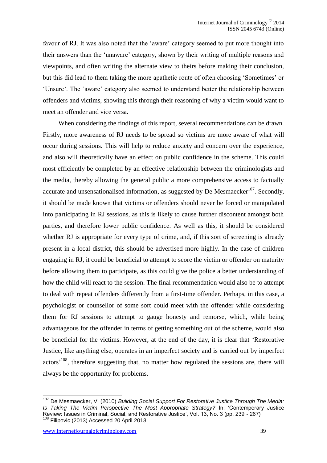favour of RJ. It was also noted that the 'aware' category seemed to put more thought into their answers than the 'unaware' category, shown by their writing of multiple reasons and viewpoints, and often writing the alternate view to theirs before making their conclusion, but this did lead to them taking the more apathetic route of often choosing 'Sometimes' or 'Unsure'. The 'aware' category also seemed to understand better the relationship between offenders and victims, showing this through their reasoning of why a victim would want to meet an offender and vice versa.

When considering the findings of this report, several recommendations can be drawn. Firstly, more awareness of RJ needs to be spread so victims are more aware of what will occur during sessions. This will help to reduce anxiety and concern over the experience, and also will theoretically have an effect on public confidence in the scheme. This could most efficiently be completed by an effective relationship between the criminologists and the media, thereby allowing the general public a more comprehensive access to factually accurate and unsensationalised information, as suggested by De Mesmaecker $107$ . Secondly, it should be made known that victims or offenders should never be forced or manipulated into participating in RJ sessions, as this is likely to cause further discontent amongst both parties, and therefore lower public confidence. As well as this, it should be considered whether RJ is appropriate for every type of crime, and, if this sort of screening is already present in a local district, this should be advertised more highly. In the case of children engaging in RJ, it could be beneficial to attempt to score the victim or offender on maturity before allowing them to participate, as this could give the police a better understanding of how the child will react to the session. The final recommendation would also be to attempt to deal with repeat offenders differently from a first-time offender. Perhaps, in this case, a psychologist or counsellor of some sort could meet with the offender while considering them for RJ sessions to attempt to gauge honesty and remorse, which, while being advantageous for the offender in terms of getting something out of the scheme, would also be beneficial for the victims. However, at the end of the day, it is clear that 'Restorative Justice, like anything else, operates in an imperfect society and is carried out by imperfect actors<sup>, 108</sup>, therefore suggesting that, no matter how regulated the sessions are, there will always be the opportunity for problems.

<sup>107</sup> De Mesmaecker, V. (2010) *Building Social Support For Restorative Justice Through The Media: Is Taking The Victim Perspective The Most Appropriate Strategy?* In: 'Contemporary Justice Review: Issues in Criminal, Social, and Restorative Justice', Vol. 13, No. 3 (pp. 239 - 267)  $108$  Filipovic (2013) Accessed 20 April 2013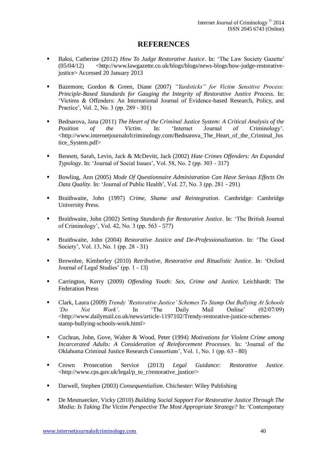## **REFERENCES**

- <span id="page-40-0"></span> Baksi, Catherine (2012) *How To Judge Restorative Justice*. In: 'The Law Society Gazette' (05/04/12) <http://www.lawgazette.co.uk/blogs/blogs/news-blogs/how-judge-restorativejustice> Accessed 20 January 2013
- Bazemore, Gordon & Green, Diane (2007) *"Yardsticks" for Victim Sensitive Process: Principle-Based Standards for Gauging the Integrity of Restorative Justice Process*. In: 'Victims & Offenders: An International Journal of Evidence-based Research, Policy, and Practice', Vol. 2, No. 3 (pp. 289 - 301)
- Bednarova, Jana (2011) *The Heart of the Criminal Justice System: A Critical Analysis of the Position of the Victim*. In: 'Internet Journal of Criminology'. <http://www.internetjournalofcriminology.com/Bednarova\_The\_Heart\_of\_the\_Criminal\_Jus tice\_System.pdf>
- Bennett, Sarah, Levin, Jack & McDevitt, Jack (2002) *Hate Crimes Offenders: An Expanded Typology*. In: 'Journal of Social Issues', Vol. 58, No. 2 (pp. 303 - 317)
- Bowling, Ann (2005) *Mode Of Questionnaire Administration Can Have Serious Effects On Data Quality*. In: 'Journal of Public Health', VoI. 27, No. 3 (pp. 281 - 291)
- Braithwaite, John (1997) *Crime, Shame and Reintegration*. Cambridge: Cambridge University Press.
- Braithwaite, John (2002) *Setting Standards for Restorative Justice*. In: 'The British Journal of Criminology', Vol. 42, No. 3 (pp. 563 - 577)
- Braithwaite, John (2004) *Restorative Justice and De-Professionalization*. In: 'The Good Society', Vol. 13, No. 1 (pp. 28 - 31)
- Brownlee, Kimberley (2010) *Retributive, Restorative and Ritualistic Justice*. In: 'Oxford Journal of Legal Studies' (pp. 1 - 13)
- Carrington, Kerry (2009) *Offending Youth: Sex, Crime and Justice*. Leichhardt: The Federation Press
- Clark, Laura (2009) *Trendy 'Restorative Justice' Schemes To Stamp Out Bullying At Schools 'Do Not Work'*. In 'The Daily Mail Online' (02/07/09) <http://www.dailymail.co.uk/news/article-1197102/Trendy-restorative-justice-schemesstamp-bullying-schools-work.html>
- Cochran, John, Gove, Walter & Wood, Peter (1994) *Motivations for Violent Crime among Incarcerated Adults: A Consideration of Reinforcement Processes*. In: 'Journal of the Oklahoma Criminal Justice Research Consortium', Vol. 1, No. 1 (pp. 63 - 80)
- Crown Prosecution Service (2013) *Legal Guidance: Restorative Justice*. <http://www.cps.gov.uk/legal/p\_to\_r/restorative\_justice/>
- Darwell, Stephen (2003) *Consequentialism*. Chichester: Wiley Publishing
- De Mesmaecker, Vicky (2010) *Building Social Support For Restorative Justice Through The Media: Is Taking The Victim Perspective The Most Appropriate Strategy?* In: 'Contemporary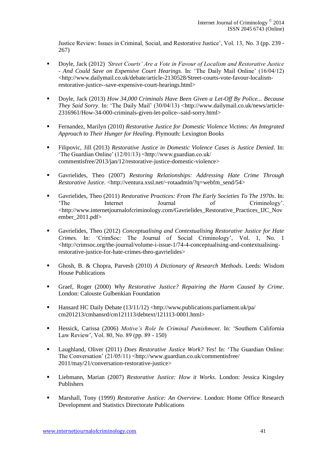Justice Review: Issues in Criminal, Social, and Restorative Justice', Vol. 13, No. 3 (pp. 239 - 267)

- Doyle, Jack (2012) *'Street Courts' Are a Vote in Favour of Localism and Restorative Justice - And Could Save on Expensive Court Hearings*. In: 'The Daily Mail Online' (16/04/12) <http://www.dailymail.co.uk/debate/article-2130528/Street-courts-vote-favour-localismrestorative-justice--save-expensive-court-hearings.html>
- Doyle, Jack (2013) *How 34,000 Criminals Have Been Given a Let-Off By Police... Because They Said Sorry*. In: 'The Daily Mail' (30/04/13) <http://www.dailymail.co.uk/news/article-2316961/How-34-000-criminals-given-let-police--said-sorry.html>
- Fernandez, Marilyn (2010) *Restorative Justice for Domestic Violence Victims: An Integrated Approach to Their Hunger for Healing*. Plymouth: Lexington Books
- Filipovic, Jill (2013) *Restorative Justice in Domestic Violence Cases is Justice Denied*. In: 'The Guardian Online' (12/01/13) <http://www.guardian.co.uk/ commentisfree/2013/jan/12/restorative-justice-domestic-violence>
- Gavrielides, Theo (2007) *Restoring Relationships: Addressing Hate Crime Through Restorative Justice.* <http://ventura.xssl.net/~rotaadmin/?q=webfm\_send/54>
- Gavrielides, Theo (2011) *Restorative Practices: From The Early Societies To The 1970s*. In: 'The Internet Journal of Criminology'. <http://www.internetjournalofcriminology.com/Gavrielides\_Restorative\_Practices\_IJC\_Nov ember\_2011.pdf>
- Gavrielides, Theo (2012) *Conceptualising and Contextualising Restorative Justice for Hate Crimes*. In: 'CrimSoc: The Journal of Social Criminology', Vol. 1, No. 1 <http://crimsoc.org/the-journal/volume-i-issue-1/74-4-conceptualising-and-contextualisingrestorative-justice-for-hate-crimes-theo-gavrielides>
- Ghosh, B. & Chopra, Parvesh (2010) *A Dictionary of Research Methods*. Leeds: Wisdom House Publications
- Graef, Roger (2000) *Why Restorative Justice? Repairing the Harm Caused by Crime*. London: Calouste Gulbenkian Foundation
- Hansard HC Daily Debate (13/11/12) <http://www.publications.parliament.uk/pa/ cm201213/cmhansrd/cm121113/debtext/121113-0001.html>
- Hessick, Carissa (2006) *Motive's Role In Criminal Punishment*. In: 'Southern California Law Review', Vol. 80, No. 89 (pp. 89 - 150)
- Laughland, Oliver (2011) *Does Restorative Justice Work? Yes!* In: 'The Guardian Online: The Conversation' (21/05/11) <http://www.guardian.co.uk/commentisfree/ 2011/may/21/conversation-restorative-justice>
- Liebmann, Marian (2007) *Restorative Justice: How it Works*. London: Jessica Kingsley Publishers
- Marshall, Tony (1999) *Restorative Justice: An Overview*. London: Home Office Research Development and Statistics Directorate Publications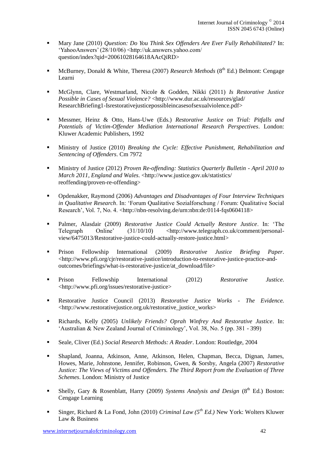- Mary Jane (2010) *Question: Do You Think Sex Offenders Are Ever Fully Rehabilitated?* In: 'YahooAnswers' (28/10/06) <http://uk.answers.yahoo.com/ question/index?qid=20061028164618AAcQiRD>
- McBurney, Donald & White, Theresa (2007) *Research Methods* (8<sup>th</sup> Ed.) Belmont: Cengage Learni
- McGlynn, Clare, Westmarland, Nicole & Godden, Nikki (2011) *Is Restorative Justice Possible in Cases of Sexual Violence?* <http://www.dur.ac.uk/resources/glad/ ResearchBriefing1-Isrestorativejusticepossibleincasesofsexualviolence.pdf>
- Messmer, Heinz & Otto, Hans-Uwe (Eds.) *Restorative Justice on Trial: Pitfalls and Potentials of Victim-Offender Mediation International Research Perspectives*. London: Kluwer Academic Publishers, 1992
- Ministry of Justice (2010) *Breaking the Cycle: Effective Punishment, Rehabilitation and Sentencing of Offenders*. Cm 7972
- Ministry of Justice (2012) *Proven Re-offending: Statistics Quarterly Bulletin - April 2010 to March 2011, England and Wales*. <http://www.justice.gov.uk/statistics/ reoffending/proven-re-offending>
- Opdenakker, Raymond (2006) *Advantages and Disadvantages of Four Interview Techniques in Qualitative Research*. In: 'Forum Qualitative Sozialforschung / Forum: Qualitative Social Research', Vol. 7, No. 4. <http://nbn-resolving.de/urn:nbn:de:0114-fqs0604118>
- Palmer, Alasdair (2009) *Restorative Justice Could Actually Restore Justice*. In: 'The Telegraph Online' (31/10/10) <http://www.telegraph.co.uk/comment/personalview/6475013/Restorative-justice-could-actually-restore-justice.html>
- Prison Fellowship International (2009) *Restorative Justice Briefing Paper*. <http://www.pfi.org/cjr/restorative-justice/introduction-to-restorative-justice-practice-andoutcomes/briefings/what-is-restorative-justice/at\_download/file>
- Prison Fellowship International (2012) *Restorative Justice*. <http://www.pfi.org/issues/restorative-justice>
- Restorative Justice Council (2013) *Restorative Justice Works - The Evidence.* <http://www.restorativejustice.org.uk/restorative\_justice\_works>
- Richards, Kelly (2005) *Unlikely Friends? Oprah Winfrey And Restorative Justice*. In: 'Australian & New Zealand Journal of Criminology', Vol. 38, No. 5 (pp. 381 - 399)
- Seale, Cliver (Ed.) *Social Research Methods: A Reader*. London: Routledge, 2004
- Shapland, Joanna, Atkinson, Anne, Atkinson, Helen, Chapman, Becca, Dignan, James, Howes, Marie, Johnstone, Jennifer, Robinson, Gwen, & Sorsby, Angela (2007) *Restorative Justice: The Views of Victims and Offenders. The Third Report from the Evaluation of Three Schemes*. London: Ministry of Justice
- **Shelly, Gary & Rosenblatt, Harry (2009)** *Systems Analysis and Design* (8<sup>th</sup> Ed.) Boston: Cengage Learning
- Singer, Richard & La Fond, John (2010) *Criminal Law (5th Ed.)* New York: Wolters Kluwer Law & Business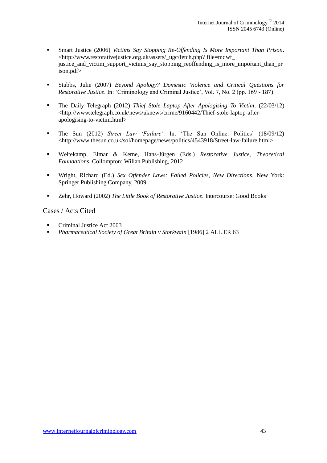- Smart Justice (2006) *Victims Say Stopping Re-Offending Is More Important Than Prison*. <http://www.restorativejustice.org.uk/assets/\_ugc/fetch.php? file=mdwf\_ justice and victim support victims say stopping reoffending is more important than pr ison.pdf>
- Stubbs, Julie (2007) *Beyond Apology? Domestic Violence and Critical Questions for Restorative Justice*. In: 'Criminology and Criminal Justice', Vol. 7, No. 2 (pp. 169 - 187)
- The Daily Telegraph (2012) *Thief Stole Laptop After Apologising To Victim*. (22/03/12) <http://www.telegraph.co.uk/news/uknews/crime/9160442/Thief-stole-laptop-afterapologising-to-victim.html>
- The Sun (2012) *Street Law 'Failure'*. In: 'The Sun Online: Politics' (18/09/12) <http://www.thesun.co.uk/sol/homepage/news/politics/4543918/Street-law-failure.html>
- Weitekamp, Elmar & Kerne, Hans-Jürgen (Eds.) *Restorative Justice, Theoretical Foundations*. Collompton: Willan Publishing, 2012
- Wright, Richard (Ed.) *Sex Offender Laws: Failed Policies, New Directions*. New York: Springer Publishing Company, 2009
- Zehr, Howard (2002) *The Little Book of Restorative Justice*. Intercourse: Good Books

#### <span id="page-43-0"></span>Cases / Acts Cited

- Criminal Justice Act 2003
- *Pharmaceutical Society of Great Britain v Storkwain* [1986] 2 ALL ER 63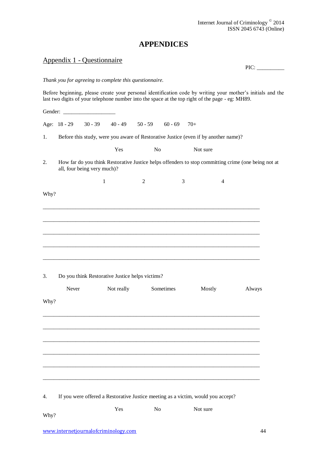# **APPENDICES**

# <span id="page-44-1"></span><span id="page-44-0"></span>Appendix 1 - Questionnaire

 $PIC:$ 

#### *Thank you for agreeing to complete this questionnaire.*

Before beginning, please create your personal identification code by writing your mother's initials and the last two digits of your telephone number into the space at the top right of the page - eg: MH89.

|      |              | Gender:                     |            |                                                 |           |                                                                                     |                |                                                                                                     |
|------|--------------|-----------------------------|------------|-------------------------------------------------|-----------|-------------------------------------------------------------------------------------|----------------|-----------------------------------------------------------------------------------------------------|
|      | Age: 18 - 29 | $30 - 39$                   | $40 - 49$  | $50 - 59$                                       | $60 - 69$ | $70+$                                                                               |                |                                                                                                     |
| 1.   |              |                             |            |                                                 |           | Before this study, were you aware of Restorative Justice (even if by another name)? |                |                                                                                                     |
|      |              |                             | Yes        | No                                              |           | Not sure                                                                            |                |                                                                                                     |
| 2.   |              | all, four being very much)? |            |                                                 |           |                                                                                     |                | How far do you think Restorative Justice helps offenders to stop committing crime (one being not at |
|      |              | $\mathbf{1}$                |            | $\overline{2}$                                  | 3         |                                                                                     | $\overline{4}$ |                                                                                                     |
| Why? |              |                             |            |                                                 |           |                                                                                     |                |                                                                                                     |
|      |              |                             |            |                                                 |           |                                                                                     |                |                                                                                                     |
|      |              |                             |            |                                                 |           |                                                                                     |                |                                                                                                     |
|      |              |                             |            |                                                 |           |                                                                                     |                |                                                                                                     |
|      |              |                             |            |                                                 |           |                                                                                     |                |                                                                                                     |
|      |              |                             |            |                                                 |           |                                                                                     |                |                                                                                                     |
| 3.   |              |                             |            | Do you think Restorative Justice helps victims? |           |                                                                                     |                |                                                                                                     |
|      | Never        |                             | Not really |                                                 | Sometimes | Mostly                                                                              |                | Always                                                                                              |
| Why? |              |                             |            |                                                 |           |                                                                                     |                |                                                                                                     |
|      |              |                             |            |                                                 |           |                                                                                     |                |                                                                                                     |
|      |              |                             |            |                                                 |           |                                                                                     |                |                                                                                                     |
|      |              |                             |            |                                                 |           |                                                                                     |                |                                                                                                     |
|      |              |                             |            |                                                 |           |                                                                                     |                |                                                                                                     |
|      |              |                             |            |                                                 |           |                                                                                     |                |                                                                                                     |
|      |              |                             |            |                                                 |           |                                                                                     |                |                                                                                                     |
| 4.   |              |                             |            |                                                 |           | If you were offered a Restorative Justice meeting as a victim, would you accept?    |                |                                                                                                     |
|      |              |                             | Yes        | N <sub>o</sub>                                  |           | Not sure                                                                            |                |                                                                                                     |
| Why? |              |                             |            |                                                 |           |                                                                                     |                |                                                                                                     |
|      |              |                             |            |                                                 |           |                                                                                     |                |                                                                                                     |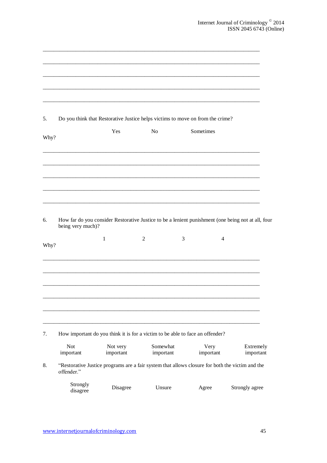| 5.   |                         |           |                | Do you think that Restorative Justice helps victims to move on from the crime?                               |                |
|------|-------------------------|-----------|----------------|--------------------------------------------------------------------------------------------------------------|----------------|
| Why? |                         | Yes       | N <sub>o</sub> | Sometimes                                                                                                    |                |
|      |                         |           |                |                                                                                                              |                |
|      |                         |           |                |                                                                                                              |                |
| 6.   | being very much)?       |           |                | How far do you consider Restorative Justice to be a lenient punishment (one being not at all, four           |                |
| Why? |                         | 1         | $\overline{c}$ | 3<br>4                                                                                                       |                |
|      |                         |           |                |                                                                                                              |                |
|      |                         |           |                |                                                                                                              |                |
|      |                         |           |                |                                                                                                              |                |
| 7.   | <b>Not</b>              | Not very  | Somewhat       | How important do you think it is for a victim to be able to face an offender?<br>Very                        | Extremely      |
| 8.   | important<br>offender." | important | important      | important<br>"Restorative Justice programs are a fair system that allows closure for both the victim and the | important      |
|      | Strongly<br>disagree    | Disagree  | Unsure         | Agree                                                                                                        | Strongly agree |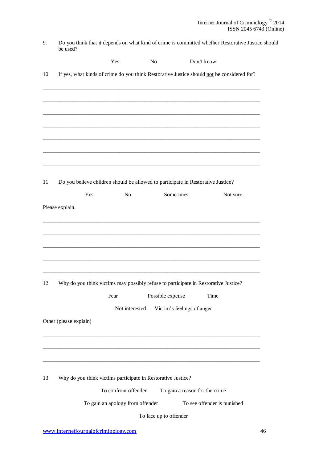| Do you think that it depends on what kind of crime is committed whether Restorative Justice should |
|----------------------------------------------------------------------------------------------------|
| be used?                                                                                           |

|     |                                                              | Yes                              | N <sub>0</sub>         | Don't know                                                                                 |          |
|-----|--------------------------------------------------------------|----------------------------------|------------------------|--------------------------------------------------------------------------------------------|----------|
| 10. |                                                              |                                  |                        | If yes, what kinds of crime do you think Restorative Justice should not be considered for? |          |
|     |                                                              |                                  |                        |                                                                                            |          |
|     |                                                              |                                  |                        |                                                                                            |          |
|     |                                                              |                                  |                        |                                                                                            |          |
|     |                                                              |                                  |                        |                                                                                            |          |
|     |                                                              |                                  |                        |                                                                                            |          |
|     |                                                              |                                  |                        |                                                                                            |          |
|     |                                                              |                                  |                        |                                                                                            |          |
| 11. |                                                              |                                  |                        | Do you believe children should be allowed to participate in Restorative Justice?           |          |
|     | Yes                                                          | N <sub>o</sub>                   | Sometimes              |                                                                                            | Not sure |
|     | Please explain.                                              |                                  |                        |                                                                                            |          |
|     |                                                              |                                  |                        |                                                                                            |          |
|     |                                                              |                                  |                        |                                                                                            |          |
|     |                                                              |                                  |                        |                                                                                            |          |
|     |                                                              |                                  |                        |                                                                                            |          |
|     |                                                              |                                  |                        |                                                                                            |          |
| 12. |                                                              |                                  |                        | Why do you think victims may possibly refuse to participate in Restorative Justice?        |          |
|     |                                                              | Fear                             | Possible expense       | Time                                                                                       |          |
|     |                                                              | Not interested                   |                        | Victim's feelings of anger                                                                 |          |
|     | Other (please explain)                                       |                                  |                        |                                                                                            |          |
|     |                                                              |                                  |                        |                                                                                            |          |
|     |                                                              |                                  |                        |                                                                                            |          |
|     |                                                              |                                  |                        |                                                                                            |          |
| 13. | Why do you think victims participate in Restorative Justice? |                                  |                        |                                                                                            |          |
|     |                                                              | To confront offender             |                        | To gain a reason for the crime                                                             |          |
|     |                                                              | To gain an apology from offender |                        | To see offender is punished                                                                |          |
|     |                                                              |                                  | To face up to offender |                                                                                            |          |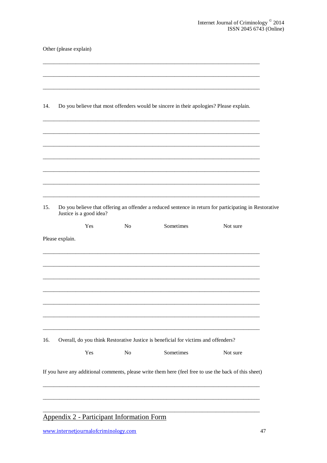|  |  | Other (please explain) |
|--|--|------------------------|
|--|--|------------------------|

<span id="page-47-0"></span>

| 14. |                         |                | Do you believe that most offenders would be sincere in their apologies? Please explain.               |                                                                                                        |
|-----|-------------------------|----------------|-------------------------------------------------------------------------------------------------------|--------------------------------------------------------------------------------------------------------|
|     |                         |                |                                                                                                       |                                                                                                        |
|     |                         |                |                                                                                                       |                                                                                                        |
|     |                         |                |                                                                                                       |                                                                                                        |
|     |                         |                |                                                                                                       |                                                                                                        |
| 15. | Justice is a good idea? |                |                                                                                                       | Do you believe that offering an offender a reduced sentence in return for participating in Restorative |
|     | Yes                     | N <sub>0</sub> | Sometimes                                                                                             | Not sure                                                                                               |
|     | Please explain.         |                |                                                                                                       |                                                                                                        |
|     |                         |                |                                                                                                       |                                                                                                        |
|     |                         |                |                                                                                                       |                                                                                                        |
|     |                         |                |                                                                                                       |                                                                                                        |
|     |                         |                |                                                                                                       |                                                                                                        |
| 16. |                         |                | Overall, do you think Restorative Justice is beneficial for victims and offenders?                    |                                                                                                        |
|     | Yes                     | $\rm No$       | Sometimes                                                                                             | Not sure                                                                                               |
|     |                         |                | If you have any additional comments, please write them here (feel free to use the back of this sheet) |                                                                                                        |
|     |                         |                |                                                                                                       |                                                                                                        |
|     |                         |                |                                                                                                       |                                                                                                        |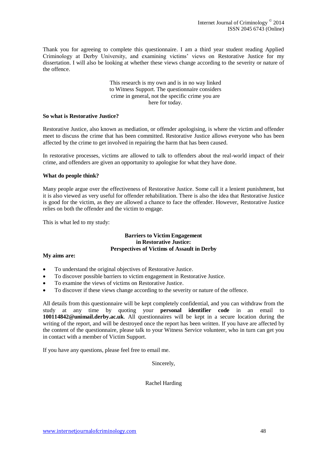Thank you for agreeing to complete this questionnaire. I am a third year student reading Applied Criminology at Derby University, and examining victims' views on Restorative Justice for my dissertation. I will also be looking at whether these views change according to the severity or nature of the offence.

> This research is my own and is in no way linked to Witness Support. The questionnaire considers crime in general, not the specific crime you are here for today.

#### **So what is Restorative Justice?**

Restorative Justice, also known as mediation, or offender apologising, is where the victim and offender meet to discuss the crime that has been committed. Restorative Justice allows everyone who has been affected by the crime to get involved in repairing the harm that has been caused.

In restorative processes, victims are allowed to talk to offenders about the real-world impact of their crime, and offenders are given an opportunity to apologise for what they have done.

#### **What do people think?**

Many people argue over the effectiveness of Restorative Justice. Some call it a lenient punishment, but it is also viewed as very useful for offender rehabilitation. There is also the idea that Restorative Justice is good for the victim, as they are allowed a chance to face the offender. However, Restorative Justice relies on both the offender and the victim to engage.

This is what led to my study:

#### **Barriers to Victim Engagement in Restorative Justice: Perspectives of Victims of Assault in Derby**

#### **My aims are:**

- To understand the original objectives of Restorative Justice.
- To discover possible barriers to victim engagement in Restorative Justice.
- To examine the views of victims on Restorative Justice.
- To discover if these views change according to the severity or nature of the offence.

All details from this questionnaire will be kept completely confidential, and you can withdraw from the study at any time by quoting your **personal identifier code** in an email to **100114842@unimail.derby.ac.uk**. All questionnaires will be kept in a secure location during the writing of the report, and will be destroyed once the report has been written. If you have are affected by the content of the questionnaire, please talk to your Witness Service volunteer, who in turn can get you in contact with a member of Victim Support.

If you have any questions, please feel free to email me.

Sincerely,

Rachel Harding